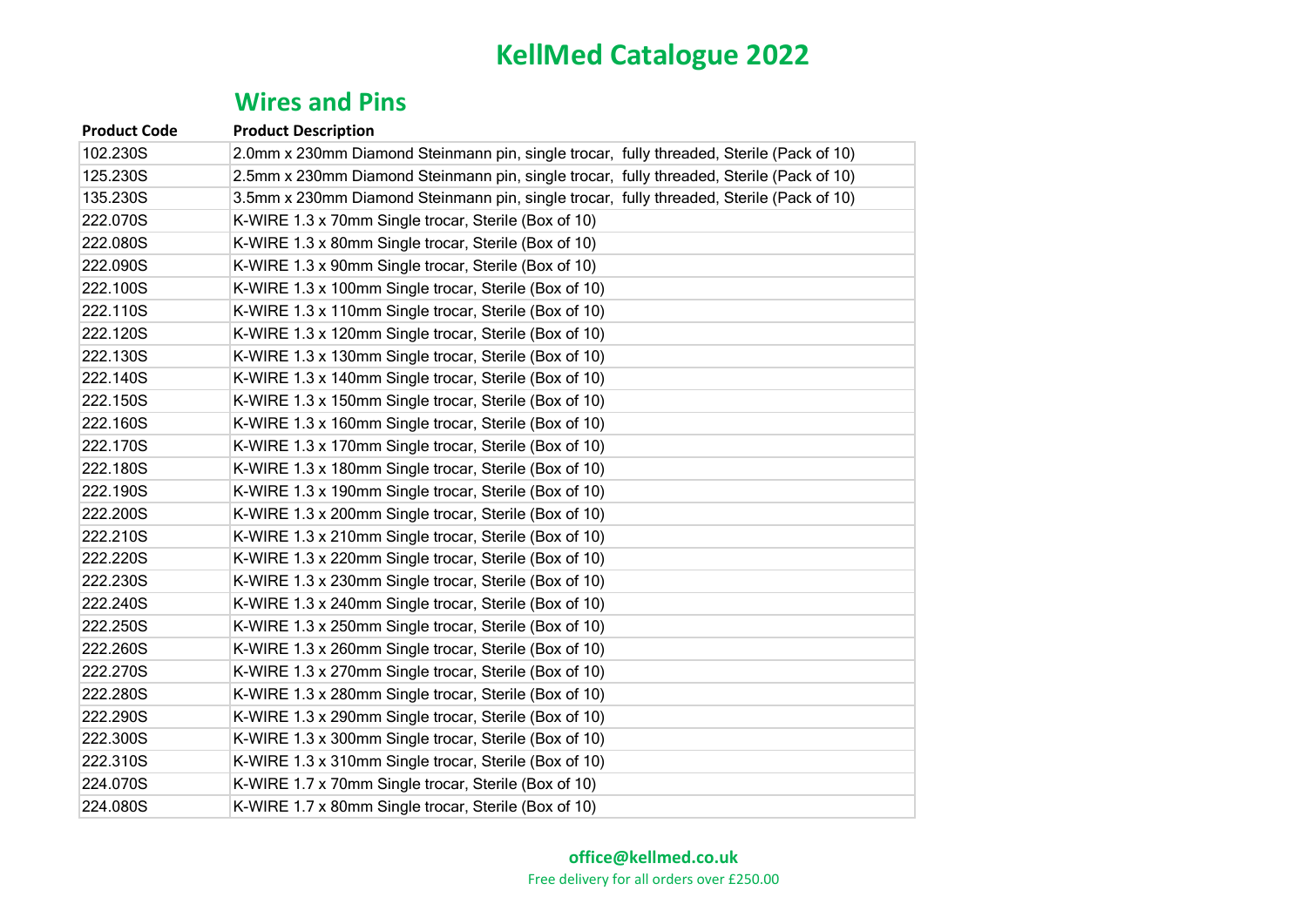#### **Wires and Pins**

| <b>Product Code</b> | <b>Product Description</b>                                                               |
|---------------------|------------------------------------------------------------------------------------------|
| 102.230S            | 2.0mm x 230mm Diamond Steinmann pin, single trocar, fully threaded, Sterile (Pack of 10) |
| 125.230S            | 2.5mm x 230mm Diamond Steinmann pin, single trocar, fully threaded, Sterile (Pack of 10) |
| 135.230S            | 3.5mm x 230mm Diamond Steinmann pin, single trocar, fully threaded, Sterile (Pack of 10) |
| 222.070S            | K-WIRE 1.3 x 70mm Single trocar, Sterile (Box of 10)                                     |
| 222.080S            | K-WIRE 1.3 x 80mm Single trocar, Sterile (Box of 10)                                     |
| 222.090S            | K-WIRE 1.3 x 90mm Single trocar, Sterile (Box of 10)                                     |
| 222.100S            | K-WIRE 1.3 x 100mm Single trocar, Sterile (Box of 10)                                    |
| 222.110S            | K-WIRE 1.3 x 110mm Single trocar, Sterile (Box of 10)                                    |
| 222.120S            | K-WIRE 1.3 x 120mm Single trocar, Sterile (Box of 10)                                    |
| 222.130S            | K-WIRE 1.3 x 130mm Single trocar, Sterile (Box of 10)                                    |
| 222.140S            | K-WIRE 1.3 x 140mm Single trocar, Sterile (Box of 10)                                    |
| 222.150S            | K-WIRE 1.3 x 150mm Single trocar, Sterile (Box of 10)                                    |
| 222.160S            | K-WIRE 1.3 x 160mm Single trocar, Sterile (Box of 10)                                    |
| 222.170S            | K-WIRE 1.3 x 170mm Single trocar, Sterile (Box of 10)                                    |
| 222.180S            | K-WIRE 1.3 x 180mm Single trocar, Sterile (Box of 10)                                    |
| 222.190S            | K-WIRE 1.3 x 190mm Single trocar, Sterile (Box of 10)                                    |
| 222.200S            | K-WIRE 1.3 x 200mm Single trocar, Sterile (Box of 10)                                    |
| 222.210S            | K-WIRE 1.3 x 210mm Single trocar, Sterile (Box of 10)                                    |
| 222.220S            | K-WIRE 1.3 x 220mm Single trocar, Sterile (Box of 10)                                    |
| 222.230S            | K-WIRE 1.3 x 230mm Single trocar, Sterile (Box of 10)                                    |
| 222.240S            | K-WIRE 1.3 x 240mm Single trocar, Sterile (Box of 10)                                    |
| 222.250S            | K-WIRE 1.3 x 250mm Single trocar, Sterile (Box of 10)                                    |
| 222.260S            | K-WIRE 1.3 x 260mm Single trocar, Sterile (Box of 10)                                    |
| 222.270S            | K-WIRE 1.3 x 270mm Single trocar, Sterile (Box of 10)                                    |
| 222.280S            | K-WIRE 1.3 x 280mm Single trocar, Sterile (Box of 10)                                    |
| 222.290S            | K-WIRE 1.3 x 290mm Single trocar, Sterile (Box of 10)                                    |
| 222.300S            | K-WIRE 1.3 x 300mm Single trocar, Sterile (Box of 10)                                    |
| 222.310S            | K-WIRE 1.3 x 310mm Single trocar, Sterile (Box of 10)                                    |
| 224.070S            | K-WIRE 1.7 x 70mm Single trocar, Sterile (Box of 10)                                     |
| 224.080S            | K-WIRE 1.7 x 80mm Single trocar, Sterile (Box of 10)                                     |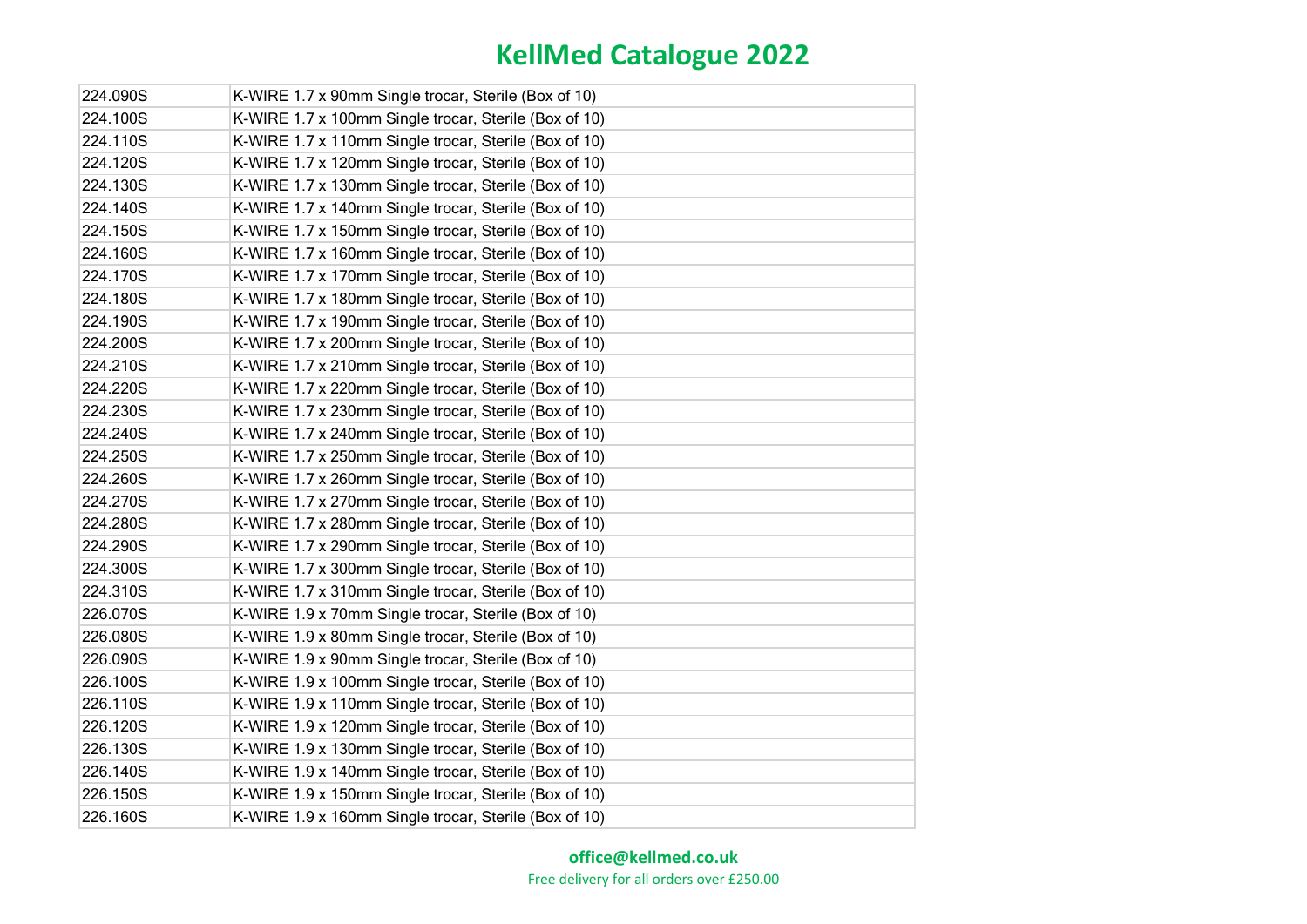| 224.090S | K-WIRE 1.7 x 90mm Single trocar, Sterile (Box of 10)  |
|----------|-------------------------------------------------------|
| 224.100S | K-WIRE 1.7 x 100mm Single trocar, Sterile (Box of 10) |
| 224.110S | K-WIRE 1.7 x 110mm Single trocar, Sterile (Box of 10) |
| 224.120S | K-WIRE 1.7 x 120mm Single trocar, Sterile (Box of 10) |
| 224.130S | K-WIRE 1.7 x 130mm Single trocar, Sterile (Box of 10) |
| 224.140S | K-WIRE 1.7 x 140mm Single trocar, Sterile (Box of 10) |
| 224.150S | K-WIRE 1.7 x 150mm Single trocar, Sterile (Box of 10) |
| 224.160S | K-WIRE 1.7 x 160mm Single trocar, Sterile (Box of 10) |
| 224.170S | K-WIRE 1.7 x 170mm Single trocar, Sterile (Box of 10) |
| 224.180S | K-WIRE 1.7 x 180mm Single trocar, Sterile (Box of 10) |
| 224.190S | K-WIRE 1.7 x 190mm Single trocar, Sterile (Box of 10) |
| 224.200S | K-WIRE 1.7 x 200mm Single trocar, Sterile (Box of 10) |
| 224.210S | K-WIRE 1.7 x 210mm Single trocar, Sterile (Box of 10) |
| 224.220S | K-WIRE 1.7 x 220mm Single trocar, Sterile (Box of 10) |
| 224.230S | K-WIRE 1.7 x 230mm Single trocar, Sterile (Box of 10) |
| 224.240S | K-WIRE 1.7 x 240mm Single trocar, Sterile (Box of 10) |
| 224.250S | K-WIRE 1.7 x 250mm Single trocar, Sterile (Box of 10) |
| 224.260S | K-WIRE 1.7 x 260mm Single trocar, Sterile (Box of 10) |
| 224.270S | K-WIRE 1.7 x 270mm Single trocar, Sterile (Box of 10) |
| 224.280S | K-WIRE 1.7 x 280mm Single trocar, Sterile (Box of 10) |
| 224.290S | K-WIRE 1.7 x 290mm Single trocar, Sterile (Box of 10) |
| 224.300S | K-WIRE 1.7 x 300mm Single trocar, Sterile (Box of 10) |
| 224.310S | K-WIRE 1.7 x 310mm Single trocar, Sterile (Box of 10) |
| 226.070S | K-WIRE 1.9 x 70mm Single trocar, Sterile (Box of 10)  |
| 226.080S | K-WIRE 1.9 x 80mm Single trocar, Sterile (Box of 10)  |
| 226.090S | K-WIRE 1.9 x 90mm Single trocar, Sterile (Box of 10)  |
| 226.100S | K-WIRE 1.9 x 100mm Single trocar, Sterile (Box of 10) |
| 226.110S | K-WIRE 1.9 x 110mm Single trocar, Sterile (Box of 10) |
| 226.120S | K-WIRE 1.9 x 120mm Single trocar, Sterile (Box of 10) |
| 226.130S | K-WIRE 1.9 x 130mm Single trocar, Sterile (Box of 10) |
| 226.140S | K-WIRE 1.9 x 140mm Single trocar, Sterile (Box of 10) |
| 226.150S | K-WIRE 1.9 x 150mm Single trocar, Sterile (Box of 10) |
| 226.160S | K-WIRE 1.9 x 160mm Single trocar, Sterile (Box of 10) |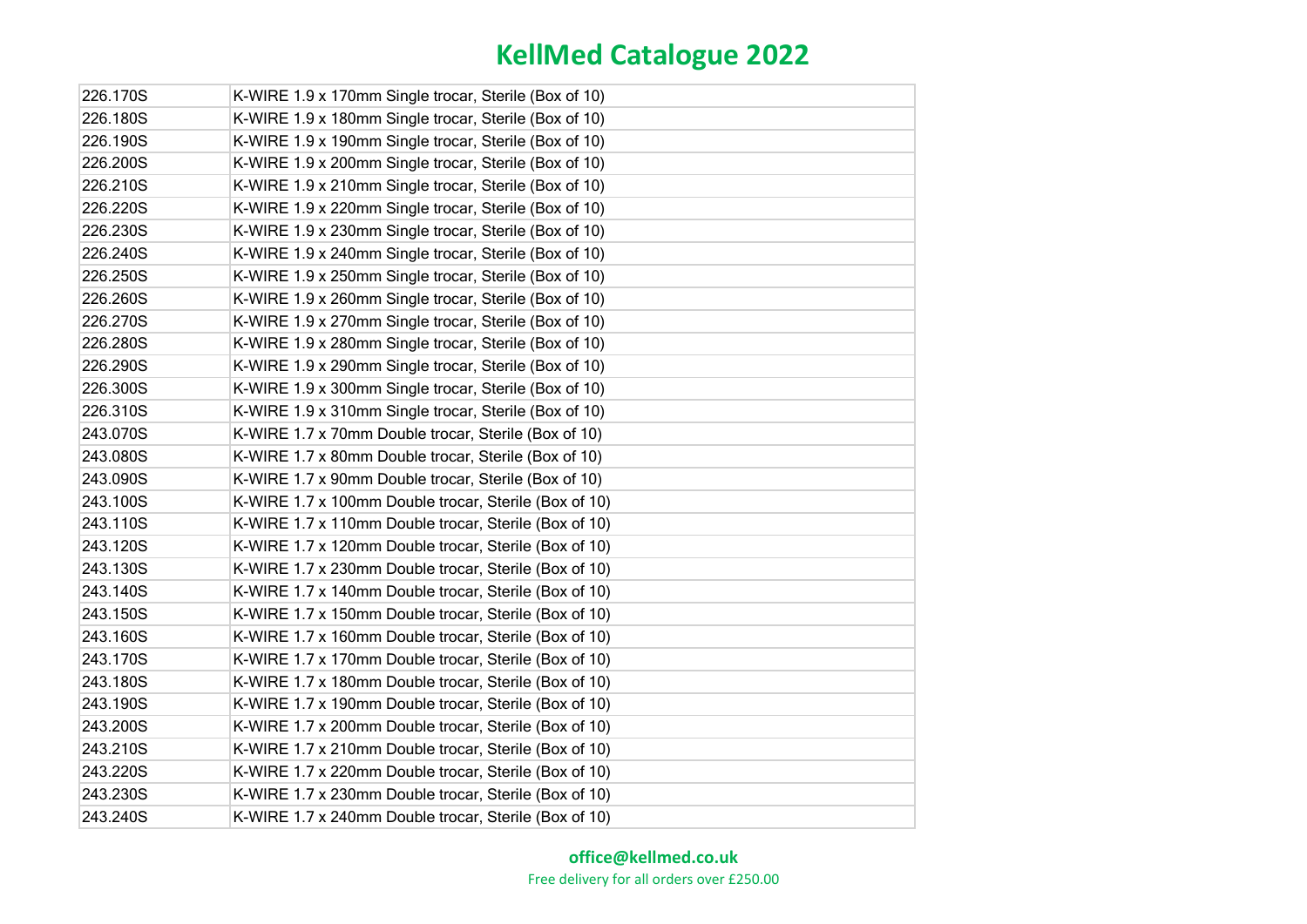| 226.170S | K-WIRE 1.9 x 170mm Single trocar, Sterile (Box of 10) |
|----------|-------------------------------------------------------|
| 226.180S | K-WIRE 1.9 x 180mm Single trocar, Sterile (Box of 10) |
| 226.190S | K-WIRE 1.9 x 190mm Single trocar, Sterile (Box of 10) |
| 226.200S | K-WIRE 1.9 x 200mm Single trocar, Sterile (Box of 10) |
| 226.210S | K-WIRE 1.9 x 210mm Single trocar, Sterile (Box of 10) |
| 226.220S | K-WIRE 1.9 x 220mm Single trocar, Sterile (Box of 10) |
| 226.230S | K-WIRE 1.9 x 230mm Single trocar, Sterile (Box of 10) |
| 226.240S | K-WIRE 1.9 x 240mm Single trocar, Sterile (Box of 10) |
| 226.250S | K-WIRE 1.9 x 250mm Single trocar, Sterile (Box of 10) |
| 226.260S | K-WIRE 1.9 x 260mm Single trocar, Sterile (Box of 10) |
| 226.270S | K-WIRE 1.9 x 270mm Single trocar, Sterile (Box of 10) |
| 226.280S | K-WIRE 1.9 x 280mm Single trocar, Sterile (Box of 10) |
| 226.290S | K-WIRE 1.9 x 290mm Single trocar, Sterile (Box of 10) |
| 226.300S | K-WIRE 1.9 x 300mm Single trocar, Sterile (Box of 10) |
| 226.310S | K-WIRE 1.9 x 310mm Single trocar, Sterile (Box of 10) |
| 243.070S | K-WIRE 1.7 x 70mm Double trocar, Sterile (Box of 10)  |
| 243.080S | K-WIRE 1.7 x 80mm Double trocar, Sterile (Box of 10)  |
| 243.090S | K-WIRE 1.7 x 90mm Double trocar, Sterile (Box of 10)  |
| 243.100S | K-WIRE 1.7 x 100mm Double trocar, Sterile (Box of 10) |
| 243.110S | K-WIRE 1.7 x 110mm Double trocar, Sterile (Box of 10) |
| 243.120S | K-WIRE 1.7 x 120mm Double trocar, Sterile (Box of 10) |
| 243.130S | K-WIRE 1.7 x 230mm Double trocar, Sterile (Box of 10) |
| 243.140S | K-WIRE 1.7 x 140mm Double trocar, Sterile (Box of 10) |
| 243.150S | K-WIRE 1.7 x 150mm Double trocar, Sterile (Box of 10) |
| 243.160S | K-WIRE 1.7 x 160mm Double trocar, Sterile (Box of 10) |
| 243.170S | K-WIRE 1.7 x 170mm Double trocar, Sterile (Box of 10) |
| 243.180S | K-WIRE 1.7 x 180mm Double trocar, Sterile (Box of 10) |
| 243.190S | K-WIRE 1.7 x 190mm Double trocar, Sterile (Box of 10) |
| 243.200S | K-WIRE 1.7 x 200mm Double trocar, Sterile (Box of 10) |
| 243.210S | K-WIRE 1.7 x 210mm Double trocar, Sterile (Box of 10) |
| 243.220S | K-WIRE 1.7 x 220mm Double trocar, Sterile (Box of 10) |
| 243.230S | K-WIRE 1.7 x 230mm Double trocar, Sterile (Box of 10) |
| 243.240S | K-WIRE 1.7 x 240mm Double trocar, Sterile (Box of 10) |

**office@kellmed.co.uk**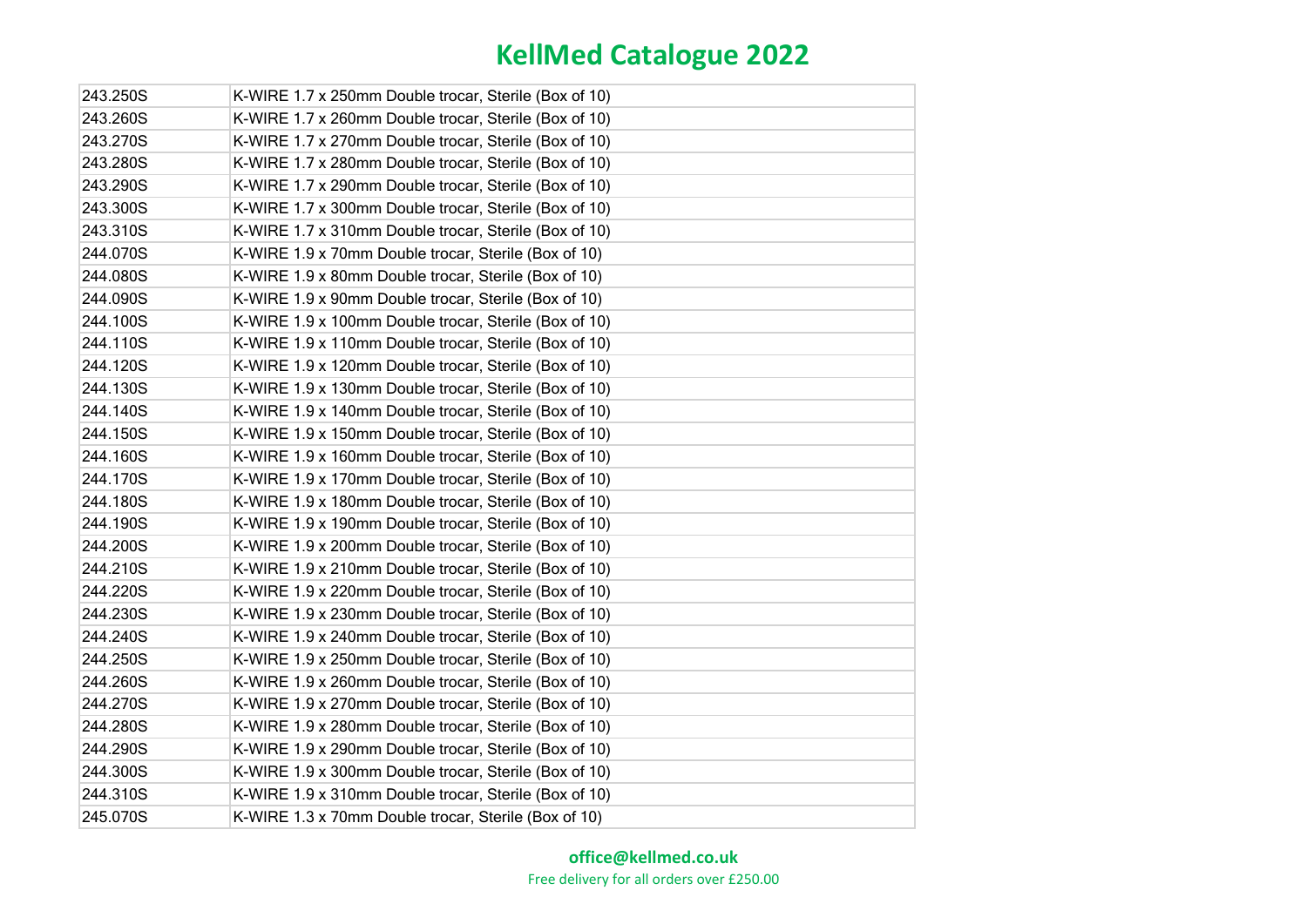| 243.250S | K-WIRE 1.7 x 250mm Double trocar, Sterile (Box of 10) |
|----------|-------------------------------------------------------|
| 243.260S | K-WIRE 1.7 x 260mm Double trocar, Sterile (Box of 10) |
| 243.270S | K-WIRE 1.7 x 270mm Double trocar, Sterile (Box of 10) |
| 243.280S | K-WIRE 1.7 x 280mm Double trocar, Sterile (Box of 10) |
| 243.290S | K-WIRE 1.7 x 290mm Double trocar, Sterile (Box of 10) |
| 243.300S | K-WIRE 1.7 x 300mm Double trocar, Sterile (Box of 10) |
| 243.310S | K-WIRE 1.7 x 310mm Double trocar, Sterile (Box of 10) |
| 244.070S | K-WIRE 1.9 x 70mm Double trocar, Sterile (Box of 10)  |
| 244.080S | K-WIRE 1.9 x 80mm Double trocar, Sterile (Box of 10)  |
| 244.090S | K-WIRE 1.9 x 90mm Double trocar, Sterile (Box of 10)  |
| 244.100S | K-WIRE 1.9 x 100mm Double trocar, Sterile (Box of 10) |
| 244.110S | K-WIRE 1.9 x 110mm Double trocar, Sterile (Box of 10) |
| 244.120S | K-WIRE 1.9 x 120mm Double trocar, Sterile (Box of 10) |
| 244.130S | K-WIRE 1.9 x 130mm Double trocar, Sterile (Box of 10) |
| 244.140S | K-WIRE 1.9 x 140mm Double trocar, Sterile (Box of 10) |
| 244.150S | K-WIRE 1.9 x 150mm Double trocar, Sterile (Box of 10) |
| 244.160S | K-WIRE 1.9 x 160mm Double trocar, Sterile (Box of 10) |
| 244.170S | K-WIRE 1.9 x 170mm Double trocar, Sterile (Box of 10) |
| 244.180S | K-WIRE 1.9 x 180mm Double trocar, Sterile (Box of 10) |
| 244.190S | K-WIRE 1.9 x 190mm Double trocar, Sterile (Box of 10) |
| 244.200S | K-WIRE 1.9 x 200mm Double trocar, Sterile (Box of 10) |
| 244.210S | K-WIRE 1.9 x 210mm Double trocar, Sterile (Box of 10) |
| 244.220S | K-WIRE 1.9 x 220mm Double trocar, Sterile (Box of 10) |
| 244.230S | K-WIRE 1.9 x 230mm Double trocar, Sterile (Box of 10) |
| 244.240S | K-WIRE 1.9 x 240mm Double trocar, Sterile (Box of 10) |
| 244.250S | K-WIRE 1.9 x 250mm Double trocar, Sterile (Box of 10) |
| 244.260S | K-WIRE 1.9 x 260mm Double trocar, Sterile (Box of 10) |
| 244.270S | K-WIRE 1.9 x 270mm Double trocar, Sterile (Box of 10) |
| 244.280S | K-WIRE 1.9 x 280mm Double trocar, Sterile (Box of 10) |
| 244.290S | K-WIRE 1.9 x 290mm Double trocar, Sterile (Box of 10) |
| 244.300S | K-WIRE 1.9 x 300mm Double trocar, Sterile (Box of 10) |
| 244.310S | K-WIRE 1.9 x 310mm Double trocar, Sterile (Box of 10) |
| 245.070S | K-WIRE 1.3 x 70mm Double trocar, Sterile (Box of 10)  |

**office@kellmed.co.uk**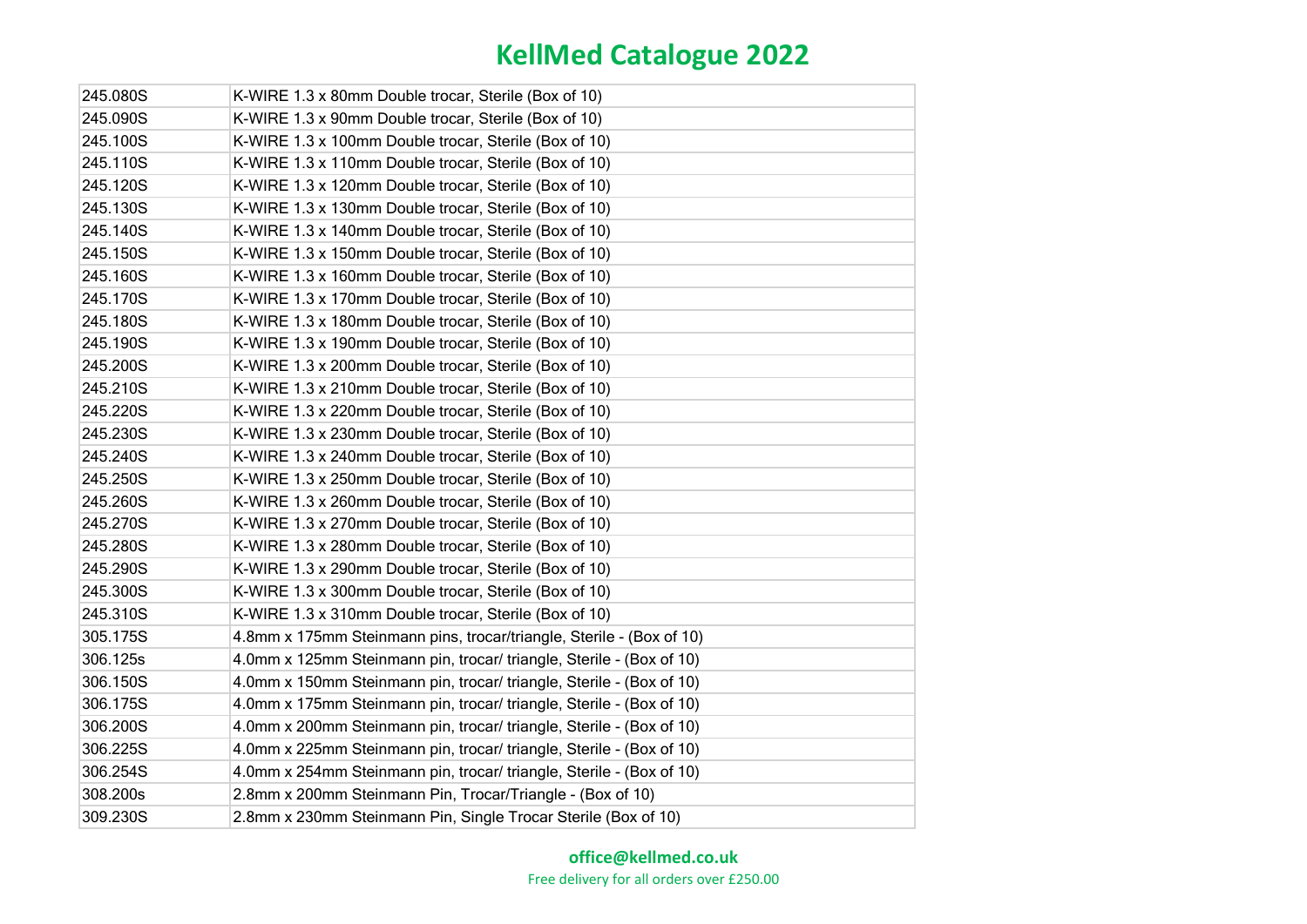| 245.080S | K-WIRE 1.3 x 80mm Double trocar, Sterile (Box of 10)                 |
|----------|----------------------------------------------------------------------|
| 245.090S | K-WIRE 1.3 x 90mm Double trocar, Sterile (Box of 10)                 |
| 245.100S | K-WIRE 1.3 x 100mm Double trocar, Sterile (Box of 10)                |
| 245.110S | K-WIRE 1.3 x 110mm Double trocar, Sterile (Box of 10)                |
| 245.120S | K-WIRE 1.3 x 120mm Double trocar, Sterile (Box of 10)                |
| 245.130S | K-WIRE 1.3 x 130mm Double trocar, Sterile (Box of 10)                |
| 245.140S | K-WIRE 1.3 x 140mm Double trocar, Sterile (Box of 10)                |
| 245.150S | K-WIRE 1.3 x 150mm Double trocar, Sterile (Box of 10)                |
| 245.160S | K-WIRE 1.3 x 160mm Double trocar, Sterile (Box of 10)                |
| 245.170S | K-WIRE 1.3 x 170mm Double trocar, Sterile (Box of 10)                |
| 245.180S | K-WIRE 1.3 x 180mm Double trocar, Sterile (Box of 10)                |
| 245.190S | K-WIRE 1.3 x 190mm Double trocar, Sterile (Box of 10)                |
| 245.200S | K-WIRE 1.3 x 200mm Double trocar, Sterile (Box of 10)                |
| 245.210S | K-WIRE 1.3 x 210mm Double trocar, Sterile (Box of 10)                |
| 245.220S | K-WIRE 1.3 x 220mm Double trocar, Sterile (Box of 10)                |
| 245.230S | K-WIRE 1.3 x 230mm Double trocar, Sterile (Box of 10)                |
| 245.240S | K-WIRE 1.3 x 240mm Double trocar, Sterile (Box of 10)                |
| 245.250S | K-WIRE 1.3 x 250mm Double trocar, Sterile (Box of 10)                |
| 245.260S | K-WIRE 1.3 x 260mm Double trocar, Sterile (Box of 10)                |
| 245.270S | K-WIRE 1.3 x 270mm Double trocar, Sterile (Box of 10)                |
| 245.280S | K-WIRE 1.3 x 280mm Double trocar, Sterile (Box of 10)                |
| 245.290S | K-WIRE 1.3 x 290mm Double trocar, Sterile (Box of 10)                |
| 245.300S | K-WIRE 1.3 x 300mm Double trocar, Sterile (Box of 10)                |
| 245.310S | K-WIRE 1.3 x 310mm Double trocar, Sterile (Box of 10)                |
| 305.175S | 4.8mm x 175mm Steinmann pins, trocar/triangle, Sterile - (Box of 10) |
| 306.125s | 4.0mm x 125mm Steinmann pin, trocar/ triangle, Sterile - (Box of 10) |
| 306.150S | 4.0mm x 150mm Steinmann pin, trocar/ triangle, Sterile - (Box of 10) |
| 306.175S | 4.0mm x 175mm Steinmann pin, trocar/ triangle, Sterile - (Box of 10) |
| 306.200S | 4.0mm x 200mm Steinmann pin, trocar/ triangle, Sterile - (Box of 10) |
| 306.225S | 4.0mm x 225mm Steinmann pin, trocar/ triangle, Sterile - (Box of 10) |
| 306.254S | 4.0mm x 254mm Steinmann pin, trocar/ triangle, Sterile - (Box of 10) |
| 308.200s | 2.8mm x 200mm Steinmann Pin, Trocar/Triangle - (Box of 10)           |
| 309.230S | 2.8mm x 230mm Steinmann Pin, Single Trocar Sterile (Box of 10)       |

#### **office@kellmed.co.uk**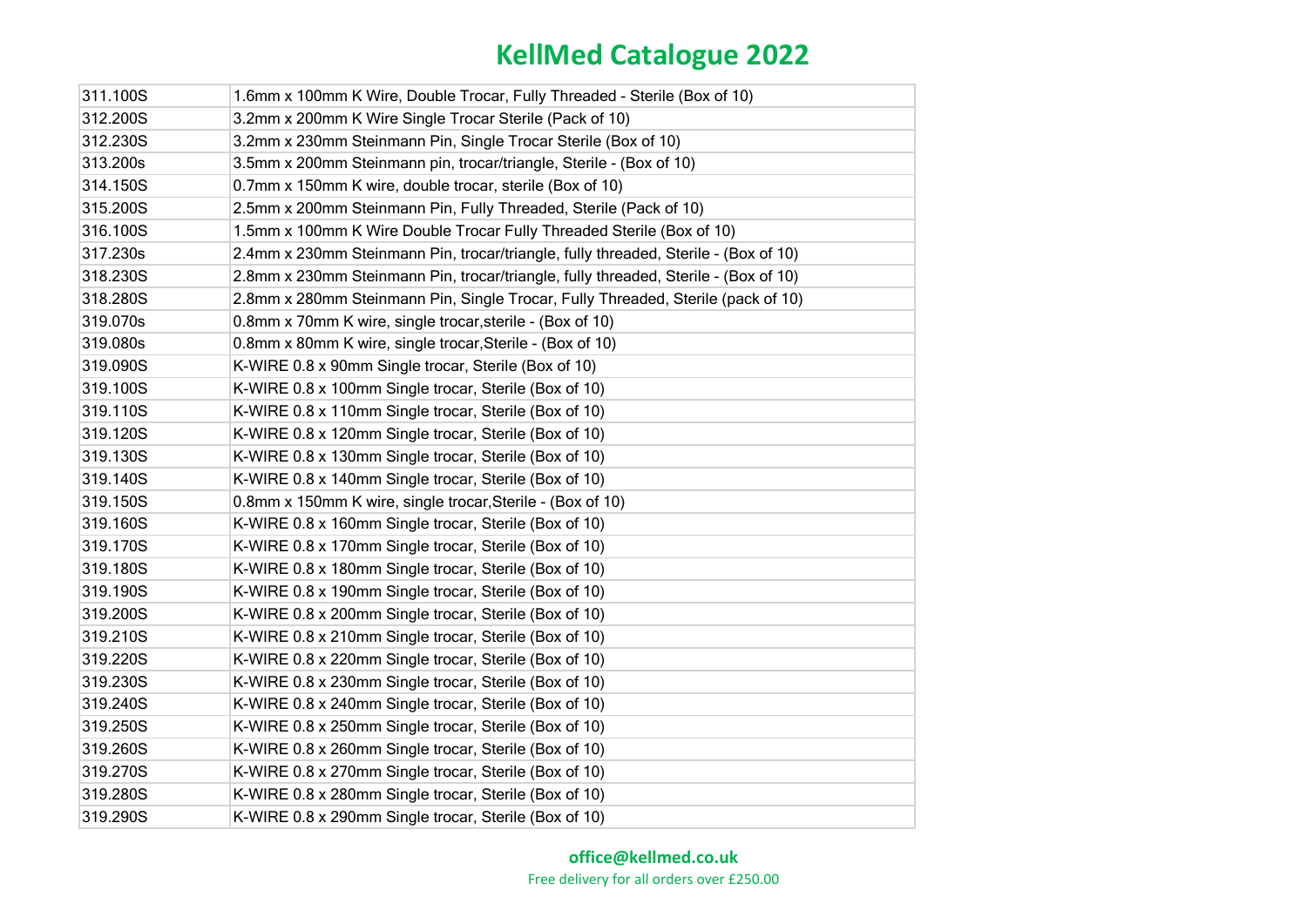| 311.100S | 1.6mm x 100mm K Wire, Double Trocar, Fully Threaded - Sterile (Box of 10)           |
|----------|-------------------------------------------------------------------------------------|
| 312.200S | 3.2mm x 200mm K Wire Single Trocar Sterile (Pack of 10)                             |
| 312.230S | 3.2mm x 230mm Steinmann Pin, Single Trocar Sterile (Box of 10)                      |
| 313.200s | 3.5mm x 200mm Steinmann pin, trocar/triangle, Sterile - (Box of 10)                 |
| 314.150S | 0.7mm x 150mm K wire, double trocar, sterile (Box of 10)                            |
| 315.200S | 2.5mm x 200mm Steinmann Pin, Fully Threaded, Sterile (Pack of 10)                   |
| 316.100S | 1.5mm x 100mm K Wire Double Trocar Fully Threaded Sterile (Box of 10)               |
| 317.230s | 2.4mm x 230mm Steinmann Pin, trocar/triangle, fully threaded, Sterile - (Box of 10) |
| 318.230S | 2.8mm x 230mm Steinmann Pin, trocar/triangle, fully threaded, Sterile - (Box of 10) |
| 318.280S | 2.8mm x 280mm Steinmann Pin, Single Trocar, Fully Threaded, Sterile (pack of 10)    |
| 319.070s | 0.8mm x 70mm K wire, single trocar, sterile - (Box of 10)                           |
| 319.080s | 0.8mm x 80mm K wire, single trocar, Sterile - (Box of 10)                           |
| 319.090S | K-WIRE 0.8 x 90mm Single trocar, Sterile (Box of 10)                                |
| 319.100S | K-WIRE 0.8 x 100mm Single trocar, Sterile (Box of 10)                               |
| 319.110S | K-WIRE 0.8 x 110mm Single trocar, Sterile (Box of 10)                               |
| 319.120S | K-WIRE 0.8 x 120mm Single trocar, Sterile (Box of 10)                               |
| 319.130S | K-WIRE 0.8 x 130mm Single trocar, Sterile (Box of 10)                               |
| 319.140S | K-WIRE 0.8 x 140mm Single trocar, Sterile (Box of 10)                               |
| 319.150S | 0.8mm x 150mm K wire, single trocar, Sterile - (Box of 10)                          |
| 319.160S | K-WIRE 0.8 x 160mm Single trocar, Sterile (Box of 10)                               |
| 319.170S | K-WIRE 0.8 x 170mm Single trocar, Sterile (Box of 10)                               |
| 319.180S | K-WIRE 0.8 x 180mm Single trocar, Sterile (Box of 10)                               |
| 319.190S | K-WIRE 0.8 x 190mm Single trocar, Sterile (Box of 10)                               |
| 319.200S | K-WIRE 0.8 x 200mm Single trocar, Sterile (Box of 10)                               |
| 319.210S | K-WIRE 0.8 x 210mm Single trocar, Sterile (Box of 10)                               |
| 319.220S | K-WIRE 0.8 x 220mm Single trocar, Sterile (Box of 10)                               |
| 319.230S | K-WIRE 0.8 x 230mm Single trocar, Sterile (Box of 10)                               |
| 319.240S | K-WIRE 0.8 x 240mm Single trocar, Sterile (Box of 10)                               |
| 319.250S | K-WIRE 0.8 x 250mm Single trocar, Sterile (Box of 10)                               |
| 319.260S | K-WIRE 0.8 x 260mm Single trocar, Sterile (Box of 10)                               |
| 319.270S | K-WIRE 0.8 x 270mm Single trocar, Sterile (Box of 10)                               |
| 319.280S | K-WIRE 0.8 x 280mm Single trocar, Sterile (Box of 10)                               |
| 319.290S | K-WIRE 0.8 x 290mm Single trocar, Sterile (Box of 10)                               |

#### **office@kellmed.co.uk**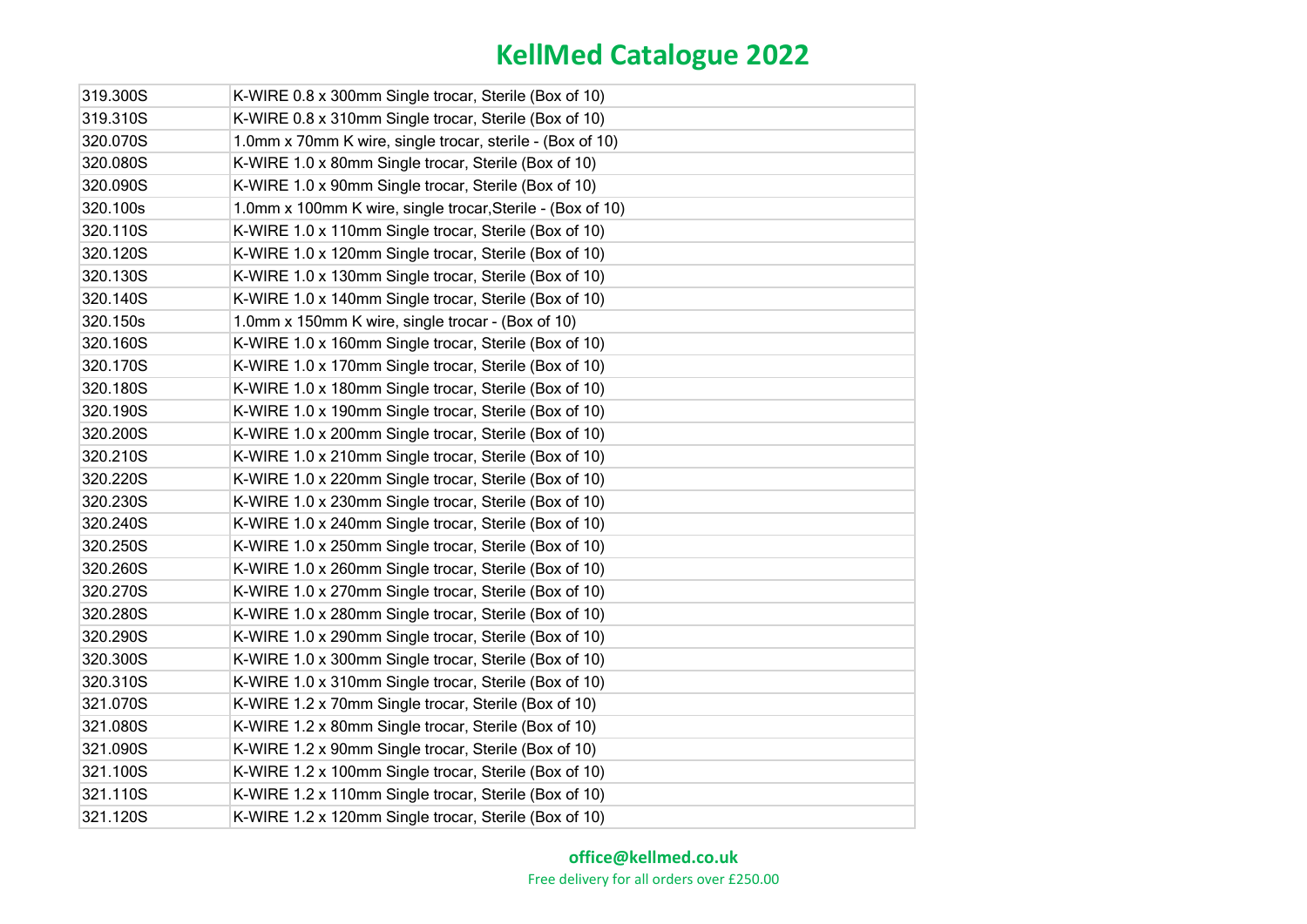| 319.300S | K-WIRE 0.8 x 300mm Single trocar, Sterile (Box of 10)      |
|----------|------------------------------------------------------------|
| 319.310S | K-WIRE 0.8 x 310mm Single trocar, Sterile (Box of 10)      |
| 320.070S | 1.0mm x 70mm K wire, single trocar, sterile - (Box of 10)  |
| 320.080S | K-WIRE 1.0 x 80mm Single trocar, Sterile (Box of 10)       |
| 320.090S | K-WIRE 1.0 x 90mm Single trocar, Sterile (Box of 10)       |
| 320.100s | 1.0mm x 100mm K wire, single trocar, Sterile - (Box of 10) |
| 320.110S | K-WIRE 1.0 x 110mm Single trocar, Sterile (Box of 10)      |
| 320.120S | K-WIRE 1.0 x 120mm Single trocar, Sterile (Box of 10)      |
| 320.130S | K-WIRE 1.0 x 130mm Single trocar, Sterile (Box of 10)      |
| 320.140S | K-WIRE 1.0 x 140mm Single trocar, Sterile (Box of 10)      |
| 320.150s | 1.0mm x 150mm K wire, single trocar - (Box of 10)          |
| 320.160S | K-WIRE 1.0 x 160mm Single trocar, Sterile (Box of 10)      |
| 320.170S | K-WIRE 1.0 x 170mm Single trocar, Sterile (Box of 10)      |
| 320.180S | K-WIRE 1.0 x 180mm Single trocar, Sterile (Box of 10)      |
| 320.190S | K-WIRE 1.0 x 190mm Single trocar, Sterile (Box of 10)      |
| 320.200S | K-WIRE 1.0 x 200mm Single trocar, Sterile (Box of 10)      |
| 320.210S | K-WIRE 1.0 x 210mm Single trocar, Sterile (Box of 10)      |
| 320.220S | K-WIRE 1.0 x 220mm Single trocar, Sterile (Box of 10)      |
| 320.230S | K-WIRE 1.0 x 230mm Single trocar, Sterile (Box of 10)      |
| 320.240S | K-WIRE 1.0 x 240mm Single trocar, Sterile (Box of 10)      |
| 320.250S | K-WIRE 1.0 x 250mm Single trocar, Sterile (Box of 10)      |
| 320.260S | K-WIRE 1.0 x 260mm Single trocar, Sterile (Box of 10)      |
| 320.270S | K-WIRE 1.0 x 270mm Single trocar, Sterile (Box of 10)      |
| 320.280S | K-WIRE 1.0 x 280mm Single trocar, Sterile (Box of 10)      |
| 320.290S | K-WIRE 1.0 x 290mm Single trocar, Sterile (Box of 10)      |
| 320.300S | K-WIRE 1.0 x 300mm Single trocar, Sterile (Box of 10)      |
| 320.310S | K-WIRE 1.0 x 310mm Single trocar, Sterile (Box of 10)      |
| 321.070S | K-WIRE 1.2 x 70mm Single trocar, Sterile (Box of 10)       |
| 321.080S | K-WIRE 1.2 x 80mm Single trocar, Sterile (Box of 10)       |
| 321.090S | K-WIRE 1.2 x 90mm Single trocar, Sterile (Box of 10)       |
| 321.100S | K-WIRE 1.2 x 100mm Single trocar, Sterile (Box of 10)      |
| 321.110S | K-WIRE 1.2 x 110mm Single trocar, Sterile (Box of 10)      |
| 321.120S | K-WIRE 1.2 x 120mm Single trocar, Sterile (Box of 10)      |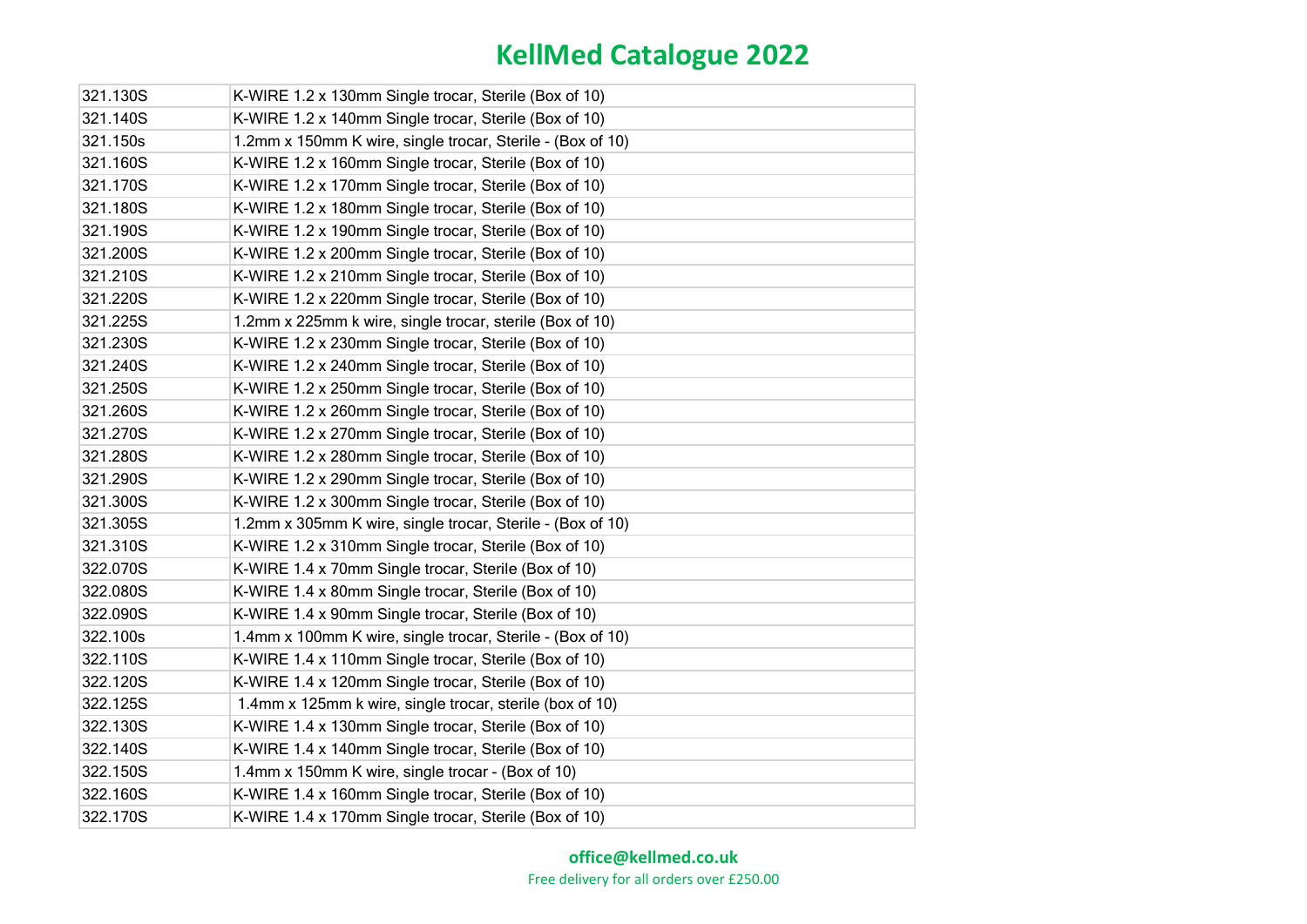| 321.130S | K-WIRE 1.2 x 130mm Single trocar, Sterile (Box of 10)      |
|----------|------------------------------------------------------------|
| 321.140S | K-WIRE 1.2 x 140mm Single trocar, Sterile (Box of 10)      |
| 321.150s | 1.2mm x 150mm K wire, single trocar, Sterile - (Box of 10) |
| 321.160S | K-WIRE 1.2 x 160mm Single trocar, Sterile (Box of 10)      |
| 321.170S | K-WIRE 1.2 x 170mm Single trocar, Sterile (Box of 10)      |
| 321.180S | K-WIRE 1.2 x 180mm Single trocar, Sterile (Box of 10)      |
| 321.190S | K-WIRE 1.2 x 190mm Single trocar, Sterile (Box of 10)      |
| 321.200S | K-WIRE 1.2 x 200mm Single trocar, Sterile (Box of 10)      |
| 321.210S | K-WIRE 1.2 x 210mm Single trocar, Sterile (Box of 10)      |
| 321.220S | K-WIRE 1.2 x 220mm Single trocar, Sterile (Box of 10)      |
| 321.225S | 1.2mm x 225mm k wire, single trocar, sterile (Box of 10)   |
| 321.230S | K-WIRE 1.2 x 230mm Single trocar, Sterile (Box of 10)      |
| 321.240S | K-WIRE 1.2 x 240mm Single trocar, Sterile (Box of 10)      |
| 321.250S | K-WIRE 1.2 x 250mm Single trocar, Sterile (Box of 10)      |
| 321.260S | K-WIRE 1.2 x 260mm Single trocar, Sterile (Box of 10)      |
| 321.270S | K-WIRE 1.2 x 270mm Single trocar, Sterile (Box of 10)      |
| 321.280S | K-WIRE 1.2 x 280mm Single trocar, Sterile (Box of 10)      |
| 321.290S | K-WIRE 1.2 x 290mm Single trocar, Sterile (Box of 10)      |
| 321.300S | K-WIRE 1.2 x 300mm Single trocar, Sterile (Box of 10)      |
| 321.305S | 1.2mm x 305mm K wire, single trocar, Sterile - (Box of 10) |
| 321.310S | K-WIRE 1.2 x 310mm Single trocar, Sterile (Box of 10)      |
| 322.070S | K-WIRE 1.4 x 70mm Single trocar, Sterile (Box of 10)       |
| 322.080S | K-WIRE 1.4 x 80mm Single trocar, Sterile (Box of 10)       |
| 322.090S | K-WIRE 1.4 x 90mm Single trocar, Sterile (Box of 10)       |
| 322.100s | 1.4mm x 100mm K wire, single trocar, Sterile - (Box of 10) |
| 322.110S | K-WIRE 1.4 x 110mm Single trocar, Sterile (Box of 10)      |
| 322.120S | K-WIRE 1.4 x 120mm Single trocar, Sterile (Box of 10)      |
| 322.125S | 1.4mm x 125mm k wire, single trocar, sterile (box of 10)   |
| 322.130S | K-WIRE 1.4 x 130mm Single trocar, Sterile (Box of 10)      |
| 322.140S | K-WIRE 1.4 x 140mm Single trocar, Sterile (Box of 10)      |
| 322.150S | 1.4mm x 150mm K wire, single trocar - (Box of 10)          |
| 322.160S | K-WIRE 1.4 x 160mm Single trocar, Sterile (Box of 10)      |
| 322.170S | K-WIRE 1.4 x 170mm Single trocar, Sterile (Box of 10)      |

#### **office@kellmed.co.uk**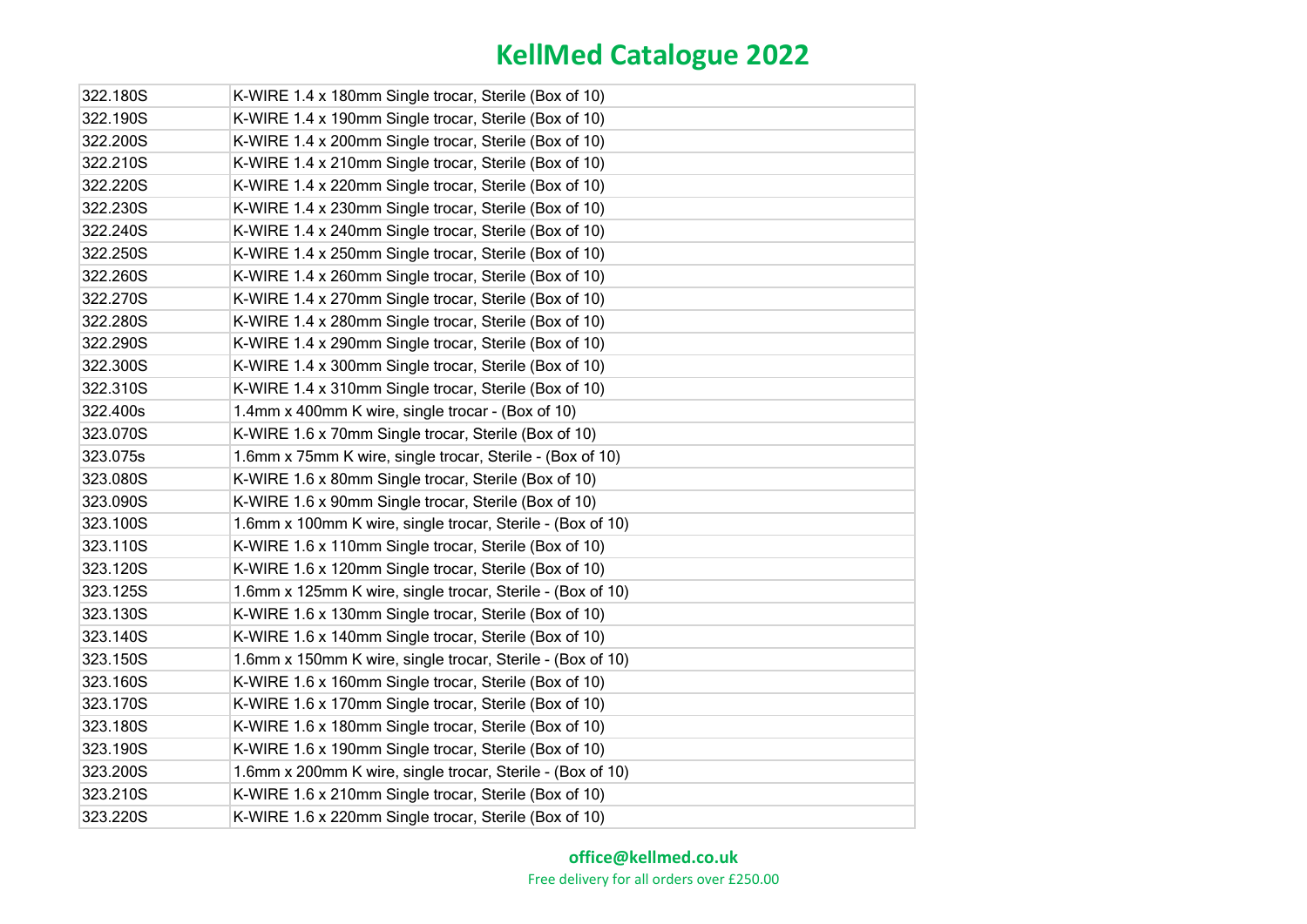| 322.180S | K-WIRE 1.4 x 180mm Single trocar, Sterile (Box of 10)      |
|----------|------------------------------------------------------------|
| 322.190S | K-WIRE 1.4 x 190mm Single trocar, Sterile (Box of 10)      |
| 322.200S | K-WIRE 1.4 x 200mm Single trocar, Sterile (Box of 10)      |
| 322.210S | K-WIRE 1.4 x 210mm Single trocar, Sterile (Box of 10)      |
| 322.220S | K-WIRE 1.4 x 220mm Single trocar, Sterile (Box of 10)      |
| 322.230S | K-WIRE 1.4 x 230mm Single trocar, Sterile (Box of 10)      |
| 322.240S | K-WIRE 1.4 x 240mm Single trocar, Sterile (Box of 10)      |
| 322.250S | K-WIRE 1.4 x 250mm Single trocar, Sterile (Box of 10)      |
| 322.260S | K-WIRE 1.4 x 260mm Single trocar, Sterile (Box of 10)      |
| 322.270S | K-WIRE 1.4 x 270mm Single trocar, Sterile (Box of 10)      |
| 322.280S | K-WIRE 1.4 x 280mm Single trocar, Sterile (Box of 10)      |
| 322.290S | K-WIRE 1.4 x 290mm Single trocar, Sterile (Box of 10)      |
| 322.300S | K-WIRE 1.4 x 300mm Single trocar, Sterile (Box of 10)      |
| 322.310S | K-WIRE 1.4 x 310mm Single trocar, Sterile (Box of 10)      |
| 322.400s | 1.4mm x 400mm K wire, single trocar - (Box of 10)          |
| 323.070S | K-WIRE 1.6 x 70mm Single trocar, Sterile (Box of 10)       |
| 323.075s | 1.6mm x 75mm K wire, single trocar, Sterile - (Box of 10)  |
| 323.080S | K-WIRE 1.6 x 80mm Single trocar, Sterile (Box of 10)       |
| 323.090S | K-WIRE 1.6 x 90mm Single trocar, Sterile (Box of 10)       |
| 323.100S | 1.6mm x 100mm K wire, single trocar, Sterile - (Box of 10) |
| 323.110S | K-WIRE 1.6 x 110mm Single trocar, Sterile (Box of 10)      |
| 323.120S | K-WIRE 1.6 x 120mm Single trocar, Sterile (Box of 10)      |
| 323.125S | 1.6mm x 125mm K wire, single trocar, Sterile - (Box of 10) |
| 323.130S | K-WIRE 1.6 x 130mm Single trocar, Sterile (Box of 10)      |
| 323.140S | K-WIRE 1.6 x 140mm Single trocar, Sterile (Box of 10)      |
| 323.150S | 1.6mm x 150mm K wire, single trocar, Sterile - (Box of 10) |
| 323.160S | K-WIRE 1.6 x 160mm Single trocar, Sterile (Box of 10)      |
| 323.170S | K-WIRE 1.6 x 170mm Single trocar, Sterile (Box of 10)      |
| 323.180S | K-WIRE 1.6 x 180mm Single trocar, Sterile (Box of 10)      |
| 323.190S | K-WIRE 1.6 x 190mm Single trocar, Sterile (Box of 10)      |
| 323.200S | 1.6mm x 200mm K wire, single trocar, Sterile - (Box of 10) |
| 323.210S | K-WIRE 1.6 x 210mm Single trocar, Sterile (Box of 10)      |
| 323.220S | K-WIRE 1.6 x 220mm Single trocar, Sterile (Box of 10)      |

#### **office@kellmed.co.uk**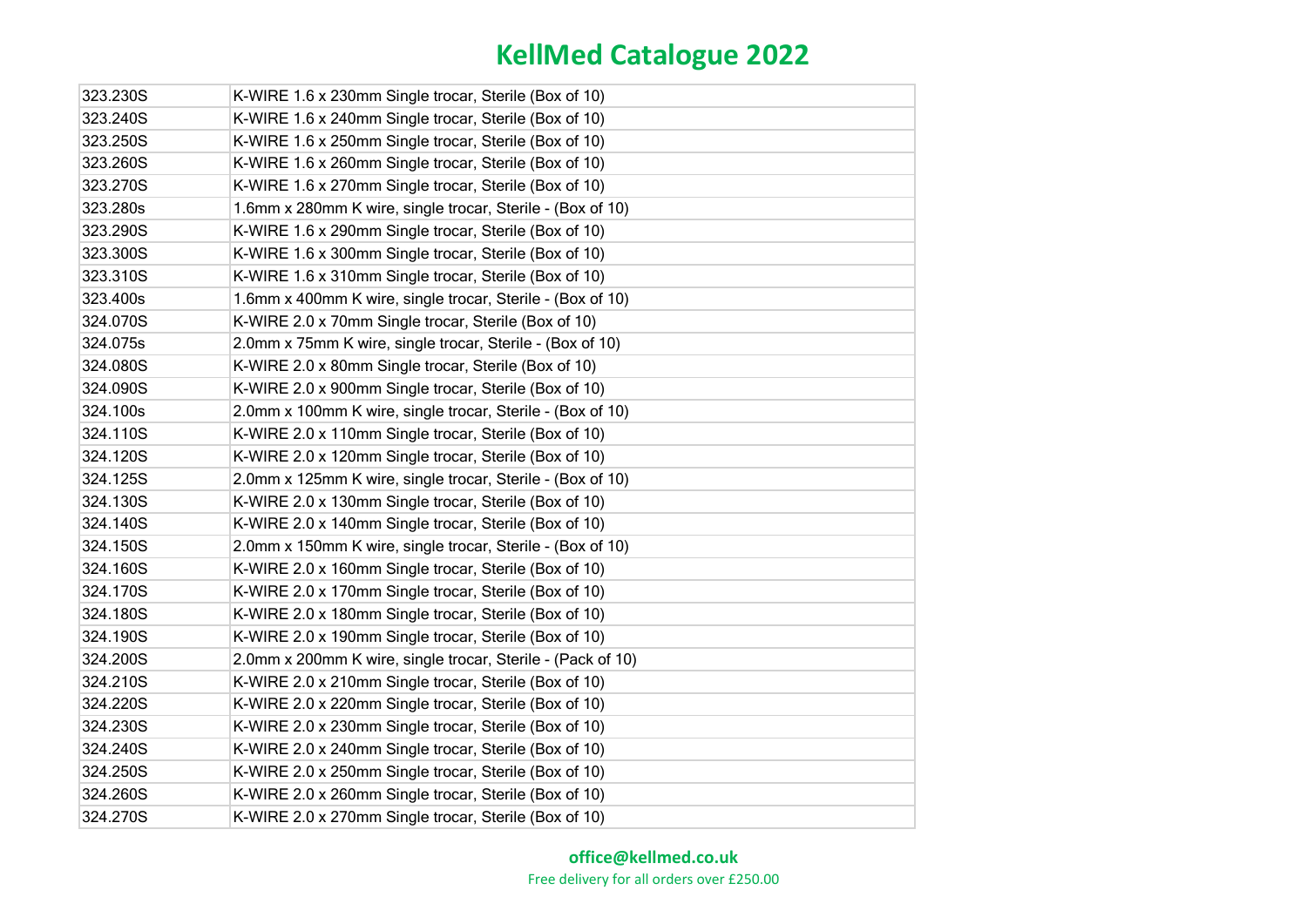| 323.230S | K-WIRE 1.6 x 230mm Single trocar, Sterile (Box of 10)       |
|----------|-------------------------------------------------------------|
| 323.240S | K-WIRE 1.6 x 240mm Single trocar, Sterile (Box of 10)       |
| 323.250S | K-WIRE 1.6 x 250mm Single trocar, Sterile (Box of 10)       |
| 323.260S | K-WIRE 1.6 x 260mm Single trocar, Sterile (Box of 10)       |
| 323.270S | K-WIRE 1.6 x 270mm Single trocar, Sterile (Box of 10)       |
| 323.280s | 1.6mm x 280mm K wire, single trocar, Sterile - (Box of 10)  |
| 323.290S | K-WIRE 1.6 x 290mm Single trocar, Sterile (Box of 10)       |
| 323.300S | K-WIRE 1.6 x 300mm Single trocar, Sterile (Box of 10)       |
| 323.310S | K-WIRE 1.6 x 310mm Single trocar, Sterile (Box of 10)       |
| 323.400s | 1.6mm x 400mm K wire, single trocar, Sterile - (Box of 10)  |
| 324.070S | K-WIRE 2.0 x 70mm Single trocar, Sterile (Box of 10)        |
| 324.075s | 2.0mm x 75mm K wire, single trocar, Sterile - (Box of 10)   |
| 324.080S | K-WIRE 2.0 x 80mm Single trocar, Sterile (Box of 10)        |
| 324.090S | K-WIRE 2.0 x 900mm Single trocar, Sterile (Box of 10)       |
| 324.100s | 2.0mm x 100mm K wire, single trocar, Sterile - (Box of 10)  |
| 324.110S | K-WIRE 2.0 x 110mm Single trocar, Sterile (Box of 10)       |
| 324.120S | K-WIRE 2.0 x 120mm Single trocar, Sterile (Box of 10)       |
| 324.125S | 2.0mm x 125mm K wire, single trocar, Sterile - (Box of 10)  |
| 324.130S | K-WIRE 2.0 x 130mm Single trocar, Sterile (Box of 10)       |
| 324.140S | K-WIRE 2.0 x 140mm Single trocar, Sterile (Box of 10)       |
| 324.150S | 2.0mm x 150mm K wire, single trocar, Sterile - (Box of 10)  |
| 324.160S | K-WIRE 2.0 x 160mm Single trocar, Sterile (Box of 10)       |
| 324.170S | K-WIRE 2.0 x 170mm Single trocar, Sterile (Box of 10)       |
| 324.180S | K-WIRE 2.0 x 180mm Single trocar, Sterile (Box of 10)       |
| 324.190S | K-WIRE 2.0 x 190mm Single trocar, Sterile (Box of 10)       |
| 324.200S | 2.0mm x 200mm K wire, single trocar, Sterile - (Pack of 10) |
| 324.210S | K-WIRE 2.0 x 210mm Single trocar, Sterile (Box of 10)       |
| 324.220S | K-WIRE 2.0 x 220mm Single trocar, Sterile (Box of 10)       |
| 324.230S | K-WIRE 2.0 x 230mm Single trocar, Sterile (Box of 10)       |
| 324.240S | K-WIRE 2.0 x 240mm Single trocar, Sterile (Box of 10)       |
| 324.250S | K-WIRE 2.0 x 250mm Single trocar, Sterile (Box of 10)       |
| 324.260S | K-WIRE 2.0 x 260mm Single trocar, Sterile (Box of 10)       |
| 324.270S | K-WIRE 2.0 x 270mm Single trocar, Sterile (Box of 10)       |

#### **office@kellmed.co.uk**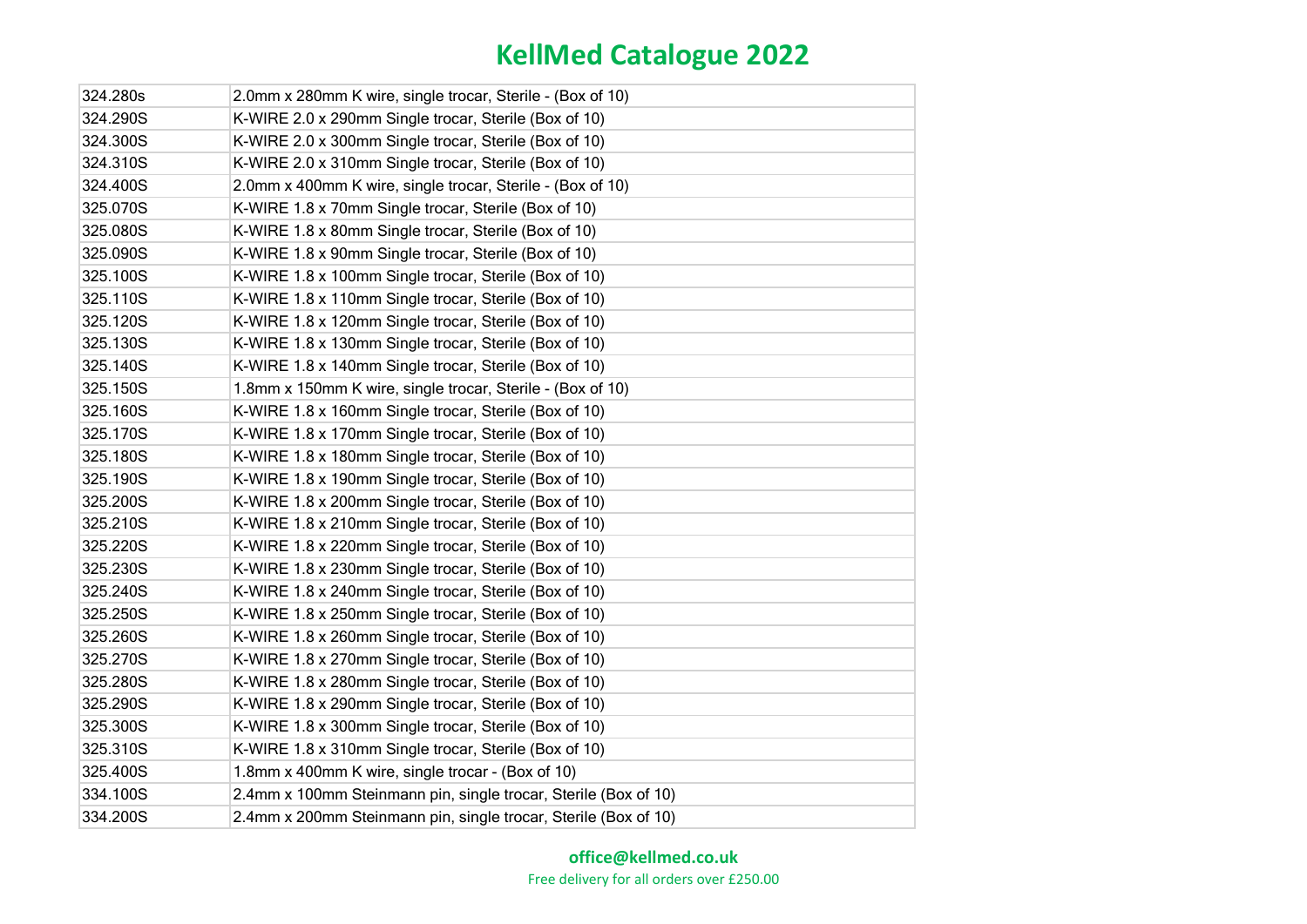| 324.280s | 2.0mm x 280mm K wire, single trocar, Sterile - (Box of 10)      |
|----------|-----------------------------------------------------------------|
| 324.290S | K-WIRE 2.0 x 290mm Single trocar, Sterile (Box of 10)           |
| 324.300S | K-WIRE 2.0 x 300mm Single trocar, Sterile (Box of 10)           |
| 324.310S | K-WIRE 2.0 x 310mm Single trocar, Sterile (Box of 10)           |
| 324.400S | 2.0mm x 400mm K wire, single trocar, Sterile - (Box of 10)      |
| 325.070S | K-WIRE 1.8 x 70mm Single trocar, Sterile (Box of 10)            |
| 325.080S | K-WIRE 1.8 x 80mm Single trocar, Sterile (Box of 10)            |
| 325.090S | K-WIRE 1.8 x 90mm Single trocar, Sterile (Box of 10)            |
| 325.100S | K-WIRE 1.8 x 100mm Single trocar, Sterile (Box of 10)           |
| 325.110S | K-WIRE 1.8 x 110mm Single trocar, Sterile (Box of 10)           |
| 325.120S | K-WIRE 1.8 x 120mm Single trocar, Sterile (Box of 10)           |
| 325.130S | K-WIRE 1.8 x 130mm Single trocar, Sterile (Box of 10)           |
| 325.140S | K-WIRE 1.8 x 140mm Single trocar, Sterile (Box of 10)           |
| 325.150S | 1.8mm x 150mm K wire, single trocar, Sterile - (Box of 10)      |
| 325.160S | K-WIRE 1.8 x 160mm Single trocar, Sterile (Box of 10)           |
| 325.170S | K-WIRE 1.8 x 170mm Single trocar, Sterile (Box of 10)           |
| 325.180S | K-WIRE 1.8 x 180mm Single trocar, Sterile (Box of 10)           |
| 325.190S | K-WIRE 1.8 x 190mm Single trocar, Sterile (Box of 10)           |
| 325.200S | K-WIRE 1.8 x 200mm Single trocar, Sterile (Box of 10)           |
| 325.210S | K-WIRE 1.8 x 210mm Single trocar, Sterile (Box of 10)           |
| 325.220S | K-WIRE 1.8 x 220mm Single trocar, Sterile (Box of 10)           |
| 325.230S | K-WIRE 1.8 x 230mm Single trocar, Sterile (Box of 10)           |
| 325.240S | K-WIRE 1.8 x 240mm Single trocar, Sterile (Box of 10)           |
| 325.250S | K-WIRE 1.8 x 250mm Single trocar, Sterile (Box of 10)           |
| 325.260S | K-WIRE 1.8 x 260mm Single trocar, Sterile (Box of 10)           |
| 325.270S | K-WIRE 1.8 x 270mm Single trocar, Sterile (Box of 10)           |
| 325.280S | K-WIRE 1.8 x 280mm Single trocar, Sterile (Box of 10)           |
| 325.290S | K-WIRE 1.8 x 290mm Single trocar, Sterile (Box of 10)           |
| 325.300S | K-WIRE 1.8 x 300mm Single trocar, Sterile (Box of 10)           |
| 325.310S | K-WIRE 1.8 x 310mm Single trocar, Sterile (Box of 10)           |
| 325.400S | 1.8mm x 400mm K wire, single trocar - (Box of 10)               |
| 334.100S | 2.4mm x 100mm Steinmann pin, single trocar, Sterile (Box of 10) |
| 334.200S | 2.4mm x 200mm Steinmann pin, single trocar, Sterile (Box of 10) |

#### **office@kellmed.co.uk**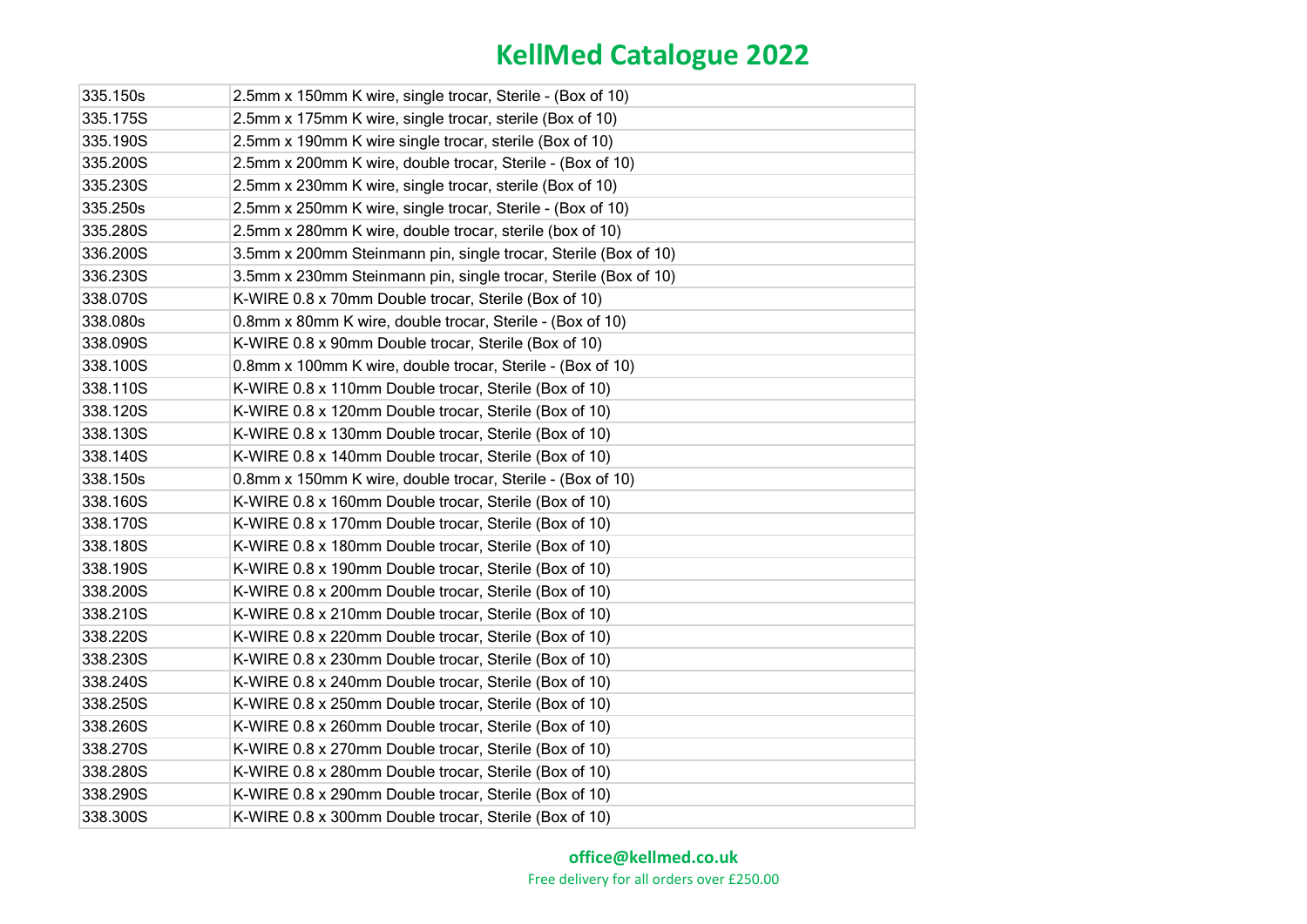| 335.150s | 2.5mm x 150mm K wire, single trocar, Sterile - (Box of 10)      |
|----------|-----------------------------------------------------------------|
| 335.175S | 2.5mm x 175mm K wire, single trocar, sterile (Box of 10)        |
| 335.190S | 2.5mm x 190mm K wire single trocar, sterile (Box of 10)         |
| 335.200S | 2.5mm x 200mm K wire, double trocar, Sterile - (Box of 10)      |
| 335.230S | 2.5mm x 230mm K wire, single trocar, sterile (Box of 10)        |
| 335.250s | 2.5mm x 250mm K wire, single trocar, Sterile - (Box of 10)      |
| 335.280S | 2.5mm x 280mm K wire, double trocar, sterile (box of 10)        |
| 336.200S | 3.5mm x 200mm Steinmann pin, single trocar, Sterile (Box of 10) |
| 336.230S | 3.5mm x 230mm Steinmann pin, single trocar, Sterile (Box of 10) |
| 338.070S | K-WIRE 0.8 x 70mm Double trocar, Sterile (Box of 10)            |
| 338.080s | 0.8mm x 80mm K wire, double trocar, Sterile - (Box of 10)       |
| 338.090S | K-WIRE 0.8 x 90mm Double trocar, Sterile (Box of 10)            |
| 338.100S | 0.8mm x 100mm K wire, double trocar, Sterile - (Box of 10)      |
| 338.110S | K-WIRE 0.8 x 110mm Double trocar, Sterile (Box of 10)           |
| 338.120S | K-WIRE 0.8 x 120mm Double trocar, Sterile (Box of 10)           |
| 338.130S | K-WIRE 0.8 x 130mm Double trocar, Sterile (Box of 10)           |
| 338.140S | K-WIRE 0.8 x 140mm Double trocar, Sterile (Box of 10)           |
| 338.150s | 0.8mm x 150mm K wire, double trocar, Sterile - (Box of 10)      |
| 338.160S | K-WIRE 0.8 x 160mm Double trocar, Sterile (Box of 10)           |
| 338.170S | K-WIRE 0.8 x 170mm Double trocar, Sterile (Box of 10)           |
| 338.180S | K-WIRE 0.8 x 180mm Double trocar, Sterile (Box of 10)           |
| 338.190S | K-WIRE 0.8 x 190mm Double trocar, Sterile (Box of 10)           |
| 338.200S | K-WIRE 0.8 x 200mm Double trocar, Sterile (Box of 10)           |
| 338.210S | K-WIRE 0.8 x 210mm Double trocar, Sterile (Box of 10)           |
| 338.220S | K-WIRE 0.8 x 220mm Double trocar, Sterile (Box of 10)           |
| 338.230S | K-WIRE 0.8 x 230mm Double trocar, Sterile (Box of 10)           |
| 338.240S | K-WIRE 0.8 x 240mm Double trocar, Sterile (Box of 10)           |
| 338.250S | K-WIRE 0.8 x 250mm Double trocar, Sterile (Box of 10)           |
| 338.260S | K-WIRE 0.8 x 260mm Double trocar, Sterile (Box of 10)           |
| 338.270S | K-WIRE 0.8 x 270mm Double trocar, Sterile (Box of 10)           |
| 338.280S | K-WIRE 0.8 x 280mm Double trocar, Sterile (Box of 10)           |
| 338.290S | K-WIRE 0.8 x 290mm Double trocar, Sterile (Box of 10)           |
| 338.300S | K-WIRE 0.8 x 300mm Double trocar, Sterile (Box of 10)           |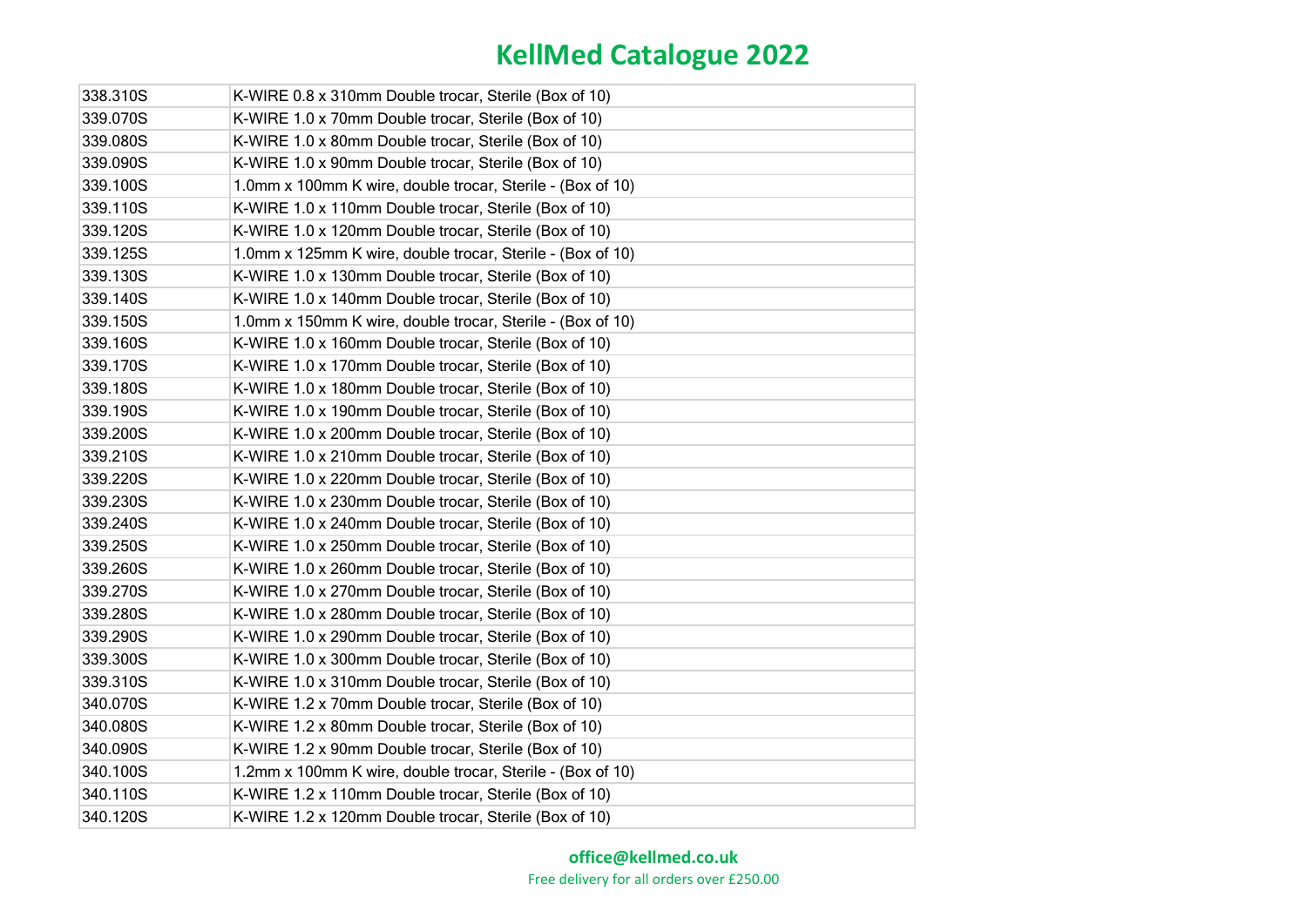| 338.310S | K-WIRE 0.8 x 310mm Double trocar, Sterile (Box of 10)      |
|----------|------------------------------------------------------------|
| 339.070S | K-WIRE 1.0 x 70mm Double trocar, Sterile (Box of 10)       |
| 339.080S | K-WIRE 1.0 x 80mm Double trocar, Sterile (Box of 10)       |
| 339.090S | K-WIRE 1.0 x 90mm Double trocar, Sterile (Box of 10)       |
| 339.100S | 1.0mm x 100mm K wire, double trocar, Sterile - (Box of 10) |
| 339.110S | K-WIRE 1.0 x 110mm Double trocar, Sterile (Box of 10)      |
| 339.120S | K-WIRE 1.0 x 120mm Double trocar, Sterile (Box of 10)      |
| 339.125S | 1.0mm x 125mm K wire, double trocar, Sterile - (Box of 10) |
| 339.130S | K-WIRE 1.0 x 130mm Double trocar, Sterile (Box of 10)      |
| 339.140S | K-WIRE 1.0 x 140mm Double trocar, Sterile (Box of 10)      |
| 339.150S | 1.0mm x 150mm K wire, double trocar, Sterile - (Box of 10) |
| 339.160S | K-WIRE 1.0 x 160mm Double trocar, Sterile (Box of 10)      |
| 339.170S | K-WIRE 1.0 x 170mm Double trocar, Sterile (Box of 10)      |
| 339.180S | K-WIRE 1.0 x 180mm Double trocar, Sterile (Box of 10)      |
| 339.190S | K-WIRE 1.0 x 190mm Double trocar, Sterile (Box of 10)      |
| 339.200S | K-WIRE 1.0 x 200mm Double trocar, Sterile (Box of 10)      |
| 339.210S | K-WIRE 1.0 x 210mm Double trocar, Sterile (Box of 10)      |
| 339.220S | K-WIRE 1.0 x 220mm Double trocar, Sterile (Box of 10)      |
| 339.230S | K-WIRE 1.0 x 230mm Double trocar, Sterile (Box of 10)      |
| 339.240S | K-WIRE 1.0 x 240mm Double trocar, Sterile (Box of 10)      |
| 339.250S | K-WIRE 1.0 x 250mm Double trocar, Sterile (Box of 10)      |
| 339.260S | K-WIRE 1.0 x 260mm Double trocar, Sterile (Box of 10)      |
| 339.270S | K-WIRE 1.0 x 270mm Double trocar, Sterile (Box of 10)      |
| 339.280S | K-WIRE 1.0 x 280mm Double trocar, Sterile (Box of 10)      |
| 339.290S | K-WIRE 1.0 x 290mm Double trocar, Sterile (Box of 10)      |
| 339.300S | K-WIRE 1.0 x 300mm Double trocar, Sterile (Box of 10)      |
| 339.310S | K-WIRE 1.0 x 310mm Double trocar, Sterile (Box of 10)      |
| 340.070S | K-WIRE 1.2 x 70mm Double trocar, Sterile (Box of 10)       |
| 340.080S | K-WIRE 1.2 x 80mm Double trocar, Sterile (Box of 10)       |
| 340.090S | K-WIRE 1.2 x 90mm Double trocar, Sterile (Box of 10)       |
| 340.100S | 1.2mm x 100mm K wire, double trocar, Sterile - (Box of 10) |
| 340.110S | K-WIRE 1.2 x 110mm Double trocar, Sterile (Box of 10)      |
| 340.120S | K-WIRE 1.2 x 120mm Double trocar, Sterile (Box of 10)      |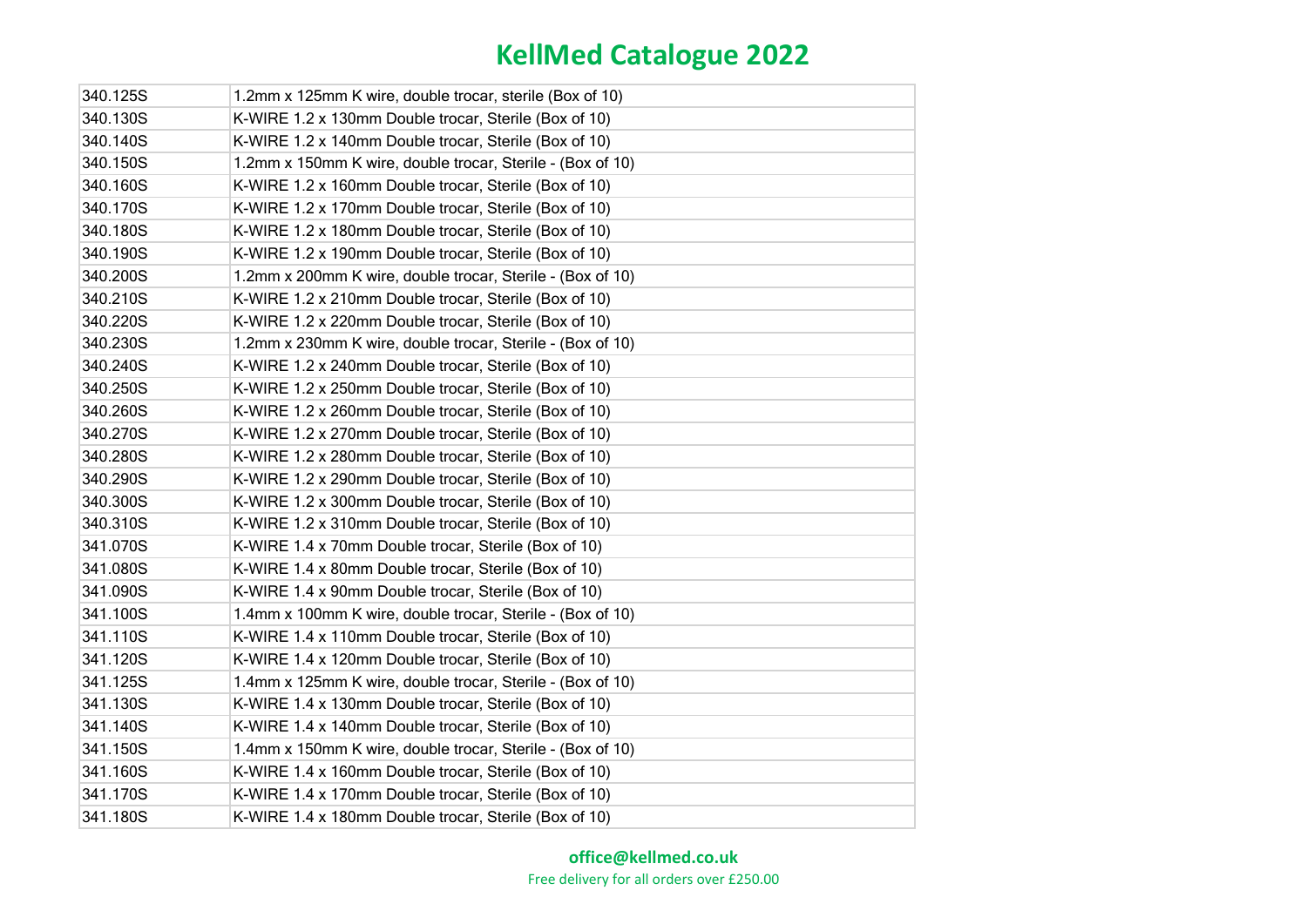| 340.125S | 1.2mm x 125mm K wire, double trocar, sterile (Box of 10)   |
|----------|------------------------------------------------------------|
| 340.130S | K-WIRE 1.2 x 130mm Double trocar, Sterile (Box of 10)      |
| 340.140S | K-WIRE 1.2 x 140mm Double trocar, Sterile (Box of 10)      |
| 340.150S | 1.2mm x 150mm K wire, double trocar, Sterile - (Box of 10) |
| 340.160S | K-WIRE 1.2 x 160mm Double trocar, Sterile (Box of 10)      |
| 340.170S | K-WIRE 1.2 x 170mm Double trocar, Sterile (Box of 10)      |
| 340.180S | K-WIRE 1.2 x 180mm Double trocar, Sterile (Box of 10)      |
| 340.190S | K-WIRE 1.2 x 190mm Double trocar, Sterile (Box of 10)      |
| 340.200S | 1.2mm x 200mm K wire, double trocar, Sterile - (Box of 10) |
| 340.210S | K-WIRE 1.2 x 210mm Double trocar, Sterile (Box of 10)      |
| 340.220S | K-WIRE 1.2 x 220mm Double trocar, Sterile (Box of 10)      |
| 340.230S | 1.2mm x 230mm K wire, double trocar, Sterile - (Box of 10) |
| 340.240S | K-WIRE 1.2 x 240mm Double trocar, Sterile (Box of 10)      |
| 340.250S | K-WIRE 1.2 x 250mm Double trocar, Sterile (Box of 10)      |
| 340.260S | K-WIRE 1.2 x 260mm Double trocar, Sterile (Box of 10)      |
| 340.270S | K-WIRE 1.2 x 270mm Double trocar, Sterile (Box of 10)      |
| 340.280S | K-WIRE 1.2 x 280mm Double trocar, Sterile (Box of 10)      |
| 340.290S | K-WIRE 1.2 x 290mm Double trocar, Sterile (Box of 10)      |
| 340.300S | K-WIRE 1.2 x 300mm Double trocar, Sterile (Box of 10)      |
| 340.310S | K-WIRE 1.2 x 310mm Double trocar, Sterile (Box of 10)      |
| 341.070S | K-WIRE 1.4 x 70mm Double trocar, Sterile (Box of 10)       |
| 341.080S | K-WIRE 1.4 x 80mm Double trocar, Sterile (Box of 10)       |
| 341.090S | K-WIRE 1.4 x 90mm Double trocar, Sterile (Box of 10)       |
| 341.100S | 1.4mm x 100mm K wire, double trocar, Sterile - (Box of 10) |
| 341.110S | K-WIRE 1.4 x 110mm Double trocar, Sterile (Box of 10)      |
| 341.120S | K-WIRE 1.4 x 120mm Double trocar, Sterile (Box of 10)      |
| 341.125S | 1.4mm x 125mm K wire, double trocar, Sterile - (Box of 10) |
| 341.130S | K-WIRE 1.4 x 130mm Double trocar, Sterile (Box of 10)      |
| 341.140S | K-WIRE 1.4 x 140mm Double trocar, Sterile (Box of 10)      |
| 341.150S | 1.4mm x 150mm K wire, double trocar, Sterile - (Box of 10) |
| 341.160S | K-WIRE 1.4 x 160mm Double trocar, Sterile (Box of 10)      |
| 341.170S | K-WIRE 1.4 x 170mm Double trocar, Sterile (Box of 10)      |
| 341.180S | K-WIRE 1.4 x 180mm Double trocar, Sterile (Box of 10)      |

#### **office@kellmed.co.uk**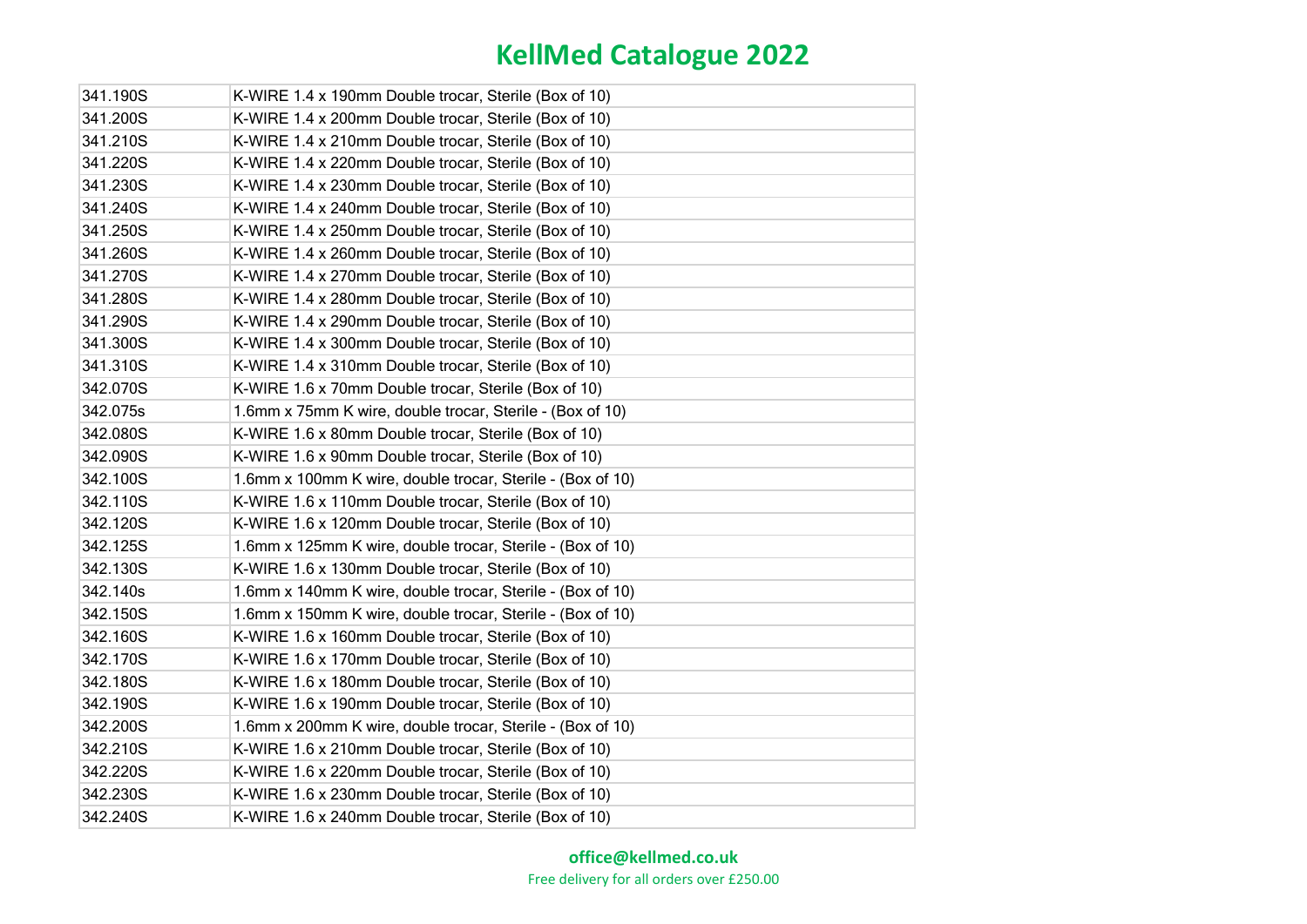| 341.190S | K-WIRE 1.4 x 190mm Double trocar, Sterile (Box of 10)      |
|----------|------------------------------------------------------------|
| 341.200S | K-WIRE 1.4 x 200mm Double trocar, Sterile (Box of 10)      |
| 341.210S | K-WIRE 1.4 x 210mm Double trocar, Sterile (Box of 10)      |
| 341.220S | K-WIRE 1.4 x 220mm Double trocar, Sterile (Box of 10)      |
| 341.230S | K-WIRE 1.4 x 230mm Double trocar, Sterile (Box of 10)      |
| 341.240S | K-WIRE 1.4 x 240mm Double trocar, Sterile (Box of 10)      |
| 341.250S | K-WIRE 1.4 x 250mm Double trocar, Sterile (Box of 10)      |
| 341.260S | K-WIRE 1.4 x 260mm Double trocar, Sterile (Box of 10)      |
| 341.270S | K-WIRE 1.4 x 270mm Double trocar, Sterile (Box of 10)      |
| 341.280S | K-WIRE 1.4 x 280mm Double trocar, Sterile (Box of 10)      |
| 341.290S | K-WIRE 1.4 x 290mm Double trocar, Sterile (Box of 10)      |
| 341.300S | K-WIRE 1.4 x 300mm Double trocar, Sterile (Box of 10)      |
| 341.310S | K-WIRE 1.4 x 310mm Double trocar, Sterile (Box of 10)      |
| 342.070S | K-WIRE 1.6 x 70mm Double trocar, Sterile (Box of 10)       |
| 342.075s | 1.6mm x 75mm K wire, double trocar, Sterile - (Box of 10)  |
| 342.080S | K-WIRE 1.6 x 80mm Double trocar, Sterile (Box of 10)       |
| 342.090S | K-WIRE 1.6 x 90mm Double trocar, Sterile (Box of 10)       |
| 342.100S | 1.6mm x 100mm K wire, double trocar, Sterile - (Box of 10) |
| 342.110S | K-WIRE 1.6 x 110mm Double trocar, Sterile (Box of 10)      |
| 342.120S | K-WIRE 1.6 x 120mm Double trocar, Sterile (Box of 10)      |
| 342.125S | 1.6mm x 125mm K wire, double trocar, Sterile - (Box of 10) |
| 342.130S | K-WIRE 1.6 x 130mm Double trocar, Sterile (Box of 10)      |
| 342.140s | 1.6mm x 140mm K wire, double trocar, Sterile - (Box of 10) |
| 342.150S | 1.6mm x 150mm K wire, double trocar, Sterile - (Box of 10) |
| 342.160S | K-WIRE 1.6 x 160mm Double trocar, Sterile (Box of 10)      |
| 342.170S | K-WIRE 1.6 x 170mm Double trocar, Sterile (Box of 10)      |
| 342.180S | K-WIRE 1.6 x 180mm Double trocar, Sterile (Box of 10)      |
| 342.190S | K-WIRE 1.6 x 190mm Double trocar, Sterile (Box of 10)      |
| 342.200S | 1.6mm x 200mm K wire, double trocar, Sterile - (Box of 10) |
| 342.210S | K-WIRE 1.6 x 210mm Double trocar, Sterile (Box of 10)      |
| 342.220S | K-WIRE 1.6 x 220mm Double trocar, Sterile (Box of 10)      |
| 342.230S | K-WIRE 1.6 x 230mm Double trocar, Sterile (Box of 10)      |
| 342.240S | K-WIRE 1.6 x 240mm Double trocar, Sterile (Box of 10)      |

#### **office@kellmed.co.uk**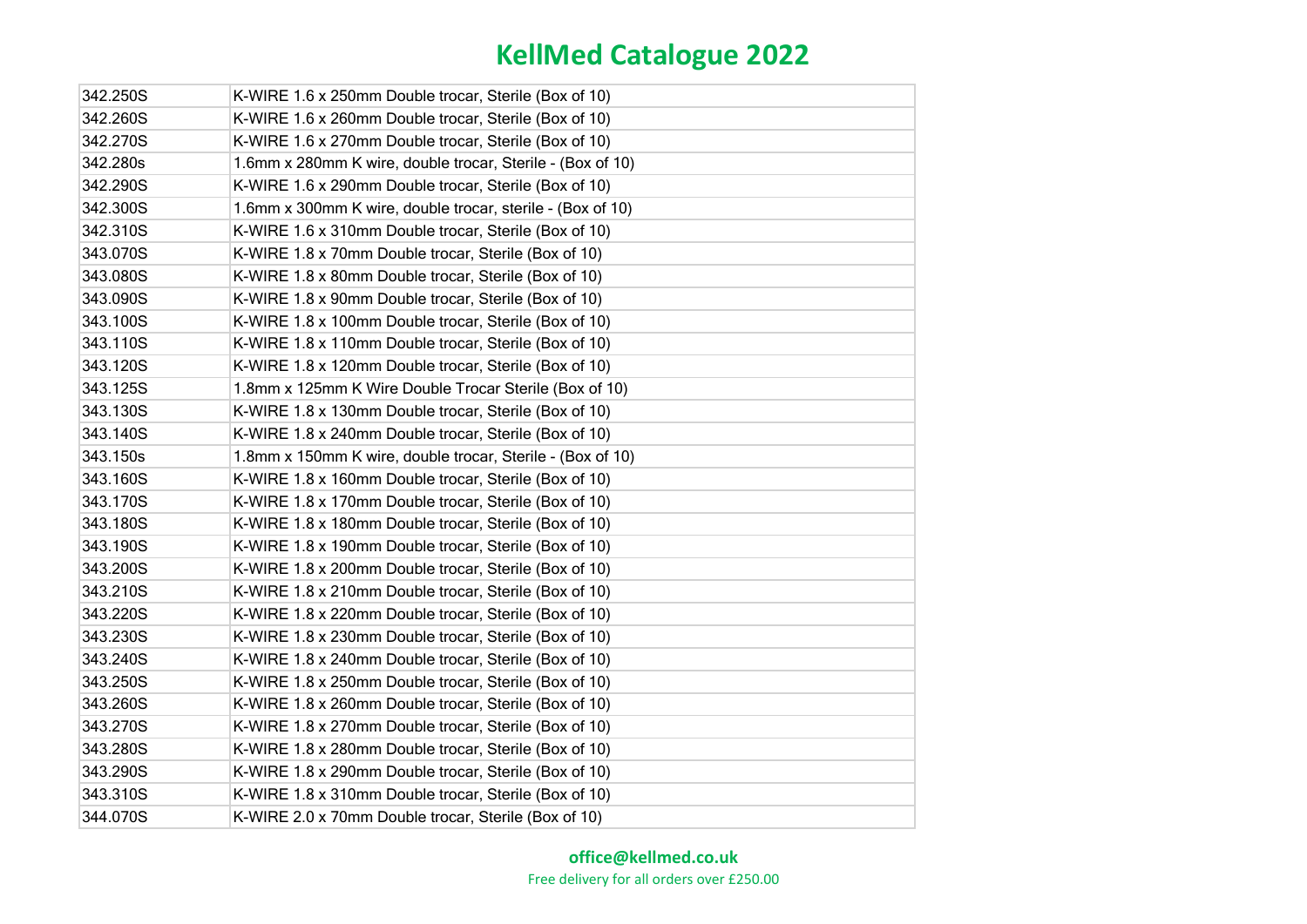| 342.250S | K-WIRE 1.6 x 250mm Double trocar, Sterile (Box of 10)      |
|----------|------------------------------------------------------------|
| 342.260S | K-WIRE 1.6 x 260mm Double trocar, Sterile (Box of 10)      |
| 342.270S | K-WIRE 1.6 x 270mm Double trocar, Sterile (Box of 10)      |
| 342.280s | 1.6mm x 280mm K wire, double trocar, Sterile - (Box of 10) |
| 342.290S | K-WIRE 1.6 x 290mm Double trocar, Sterile (Box of 10)      |
| 342.300S | 1.6mm x 300mm K wire, double trocar, sterile - (Box of 10) |
| 342.310S | K-WIRE 1.6 x 310mm Double trocar, Sterile (Box of 10)      |
| 343.070S | K-WIRE 1.8 x 70mm Double trocar, Sterile (Box of 10)       |
| 343.080S | K-WIRE 1.8 x 80mm Double trocar, Sterile (Box of 10)       |
| 343.090S | K-WIRE 1.8 x 90mm Double trocar, Sterile (Box of 10)       |
| 343.100S | K-WIRE 1.8 x 100mm Double trocar, Sterile (Box of 10)      |
| 343.110S | K-WIRE 1.8 x 110mm Double trocar, Sterile (Box of 10)      |
| 343.120S | K-WIRE 1.8 x 120mm Double trocar, Sterile (Box of 10)      |
| 343.125S | 1.8mm x 125mm K Wire Double Trocar Sterile (Box of 10)     |
| 343.130S | K-WIRE 1.8 x 130mm Double trocar, Sterile (Box of 10)      |
| 343.140S | K-WIRE 1.8 x 240mm Double trocar, Sterile (Box of 10)      |
| 343.150s | 1.8mm x 150mm K wire, double trocar, Sterile - (Box of 10) |
| 343.160S | K-WIRE 1.8 x 160mm Double trocar, Sterile (Box of 10)      |
| 343.170S | K-WIRE 1.8 x 170mm Double trocar, Sterile (Box of 10)      |
| 343.180S | K-WIRE 1.8 x 180mm Double trocar, Sterile (Box of 10)      |
| 343.190S | K-WIRE 1.8 x 190mm Double trocar, Sterile (Box of 10)      |
| 343.200S | K-WIRE 1.8 x 200mm Double trocar, Sterile (Box of 10)      |
| 343.210S | K-WIRE 1.8 x 210mm Double trocar, Sterile (Box of 10)      |
| 343.220S | K-WIRE 1.8 x 220mm Double trocar, Sterile (Box of 10)      |
| 343.230S | K-WIRE 1.8 x 230mm Double trocar, Sterile (Box of 10)      |
| 343.240S | K-WIRE 1.8 x 240mm Double trocar, Sterile (Box of 10)      |
| 343.250S | K-WIRE 1.8 x 250mm Double trocar, Sterile (Box of 10)      |
| 343.260S | K-WIRE 1.8 x 260mm Double trocar, Sterile (Box of 10)      |
| 343.270S | K-WIRE 1.8 x 270mm Double trocar, Sterile (Box of 10)      |
| 343.280S | K-WIRE 1.8 x 280mm Double trocar, Sterile (Box of 10)      |
| 343.290S | K-WIRE 1.8 x 290mm Double trocar, Sterile (Box of 10)      |
| 343.310S | K-WIRE 1.8 x 310mm Double trocar, Sterile (Box of 10)      |
| 344.070S | K-WIRE 2.0 x 70mm Double trocar, Sterile (Box of 10)       |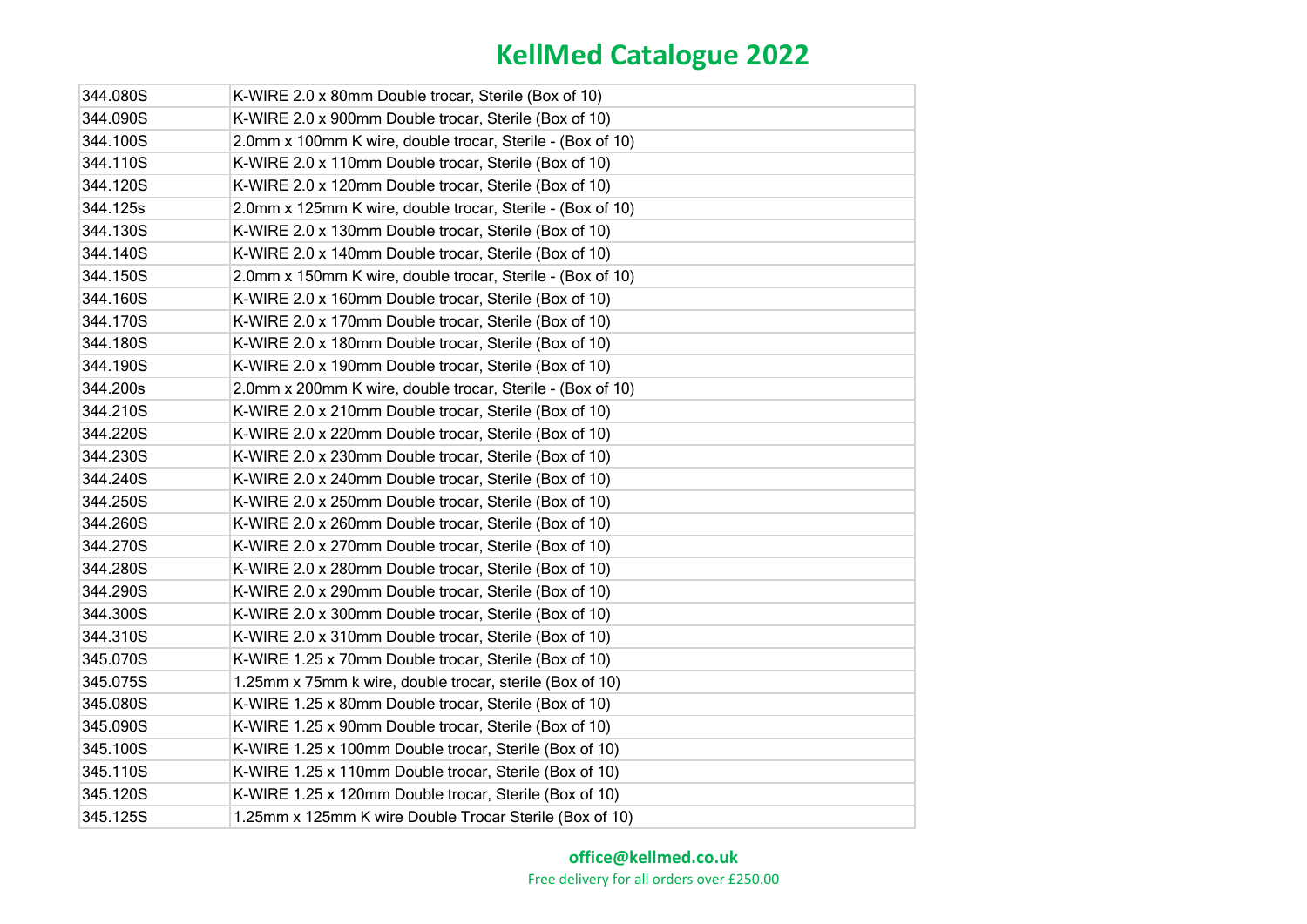| 344.080S | K-WIRE 2.0 x 80mm Double trocar, Sterile (Box of 10)       |
|----------|------------------------------------------------------------|
| 344.090S | K-WIRE 2.0 x 900mm Double trocar, Sterile (Box of 10)      |
| 344.100S | 2.0mm x 100mm K wire, double trocar, Sterile - (Box of 10) |
| 344.110S | K-WIRE 2.0 x 110mm Double trocar, Sterile (Box of 10)      |
| 344.120S | K-WIRE 2.0 x 120mm Double trocar, Sterile (Box of 10)      |
| 344.125s | 2.0mm x 125mm K wire, double trocar, Sterile - (Box of 10) |
| 344.130S | K-WIRE 2.0 x 130mm Double trocar, Sterile (Box of 10)      |
| 344.140S | K-WIRE 2.0 x 140mm Double trocar, Sterile (Box of 10)      |
| 344.150S | 2.0mm x 150mm K wire, double trocar, Sterile - (Box of 10) |
| 344.160S | K-WIRE 2.0 x 160mm Double trocar, Sterile (Box of 10)      |
| 344.170S | K-WIRE 2.0 x 170mm Double trocar, Sterile (Box of 10)      |
| 344.180S | K-WIRE 2.0 x 180mm Double trocar, Sterile (Box of 10)      |
| 344.190S | K-WIRE 2.0 x 190mm Double trocar, Sterile (Box of 10)      |
| 344.200s | 2.0mm x 200mm K wire, double trocar, Sterile - (Box of 10) |
| 344.210S | K-WIRE 2.0 x 210mm Double trocar, Sterile (Box of 10)      |
| 344.220S | K-WIRE 2.0 x 220mm Double trocar, Sterile (Box of 10)      |
| 344.230S | K-WIRE 2.0 x 230mm Double trocar, Sterile (Box of 10)      |
| 344.240S | K-WIRE 2.0 x 240mm Double trocar, Sterile (Box of 10)      |
| 344.250S | K-WIRE 2.0 x 250mm Double trocar, Sterile (Box of 10)      |
| 344.260S | K-WIRE 2.0 x 260mm Double trocar, Sterile (Box of 10)      |
| 344.270S | K-WIRE 2.0 x 270mm Double trocar, Sterile (Box of 10)      |
| 344.280S | K-WIRE 2.0 x 280mm Double trocar, Sterile (Box of 10)      |
| 344.290S | K-WIRE 2.0 x 290mm Double trocar, Sterile (Box of 10)      |
| 344.300S | K-WIRE 2.0 x 300mm Double trocar, Sterile (Box of 10)      |
| 344.310S | K-WIRE 2.0 x 310mm Double trocar, Sterile (Box of 10)      |
| 345.070S | K-WIRE 1.25 x 70mm Double trocar, Sterile (Box of 10)      |
| 345.075S | 1.25mm x 75mm k wire, double trocar, sterile (Box of 10)   |
| 345.080S | K-WIRE 1.25 x 80mm Double trocar, Sterile (Box of 10)      |
| 345.090S | K-WIRE 1.25 x 90mm Double trocar, Sterile (Box of 10)      |
| 345.100S | K-WIRE 1.25 x 100mm Double trocar, Sterile (Box of 10)     |
| 345.110S | K-WIRE 1.25 x 110mm Double trocar, Sterile (Box of 10)     |
| 345.120S | K-WIRE 1.25 x 120mm Double trocar, Sterile (Box of 10)     |
| 345.125S | 1.25mm x 125mm K wire Double Trocar Sterile (Box of 10)    |

#### **office@kellmed.co.uk**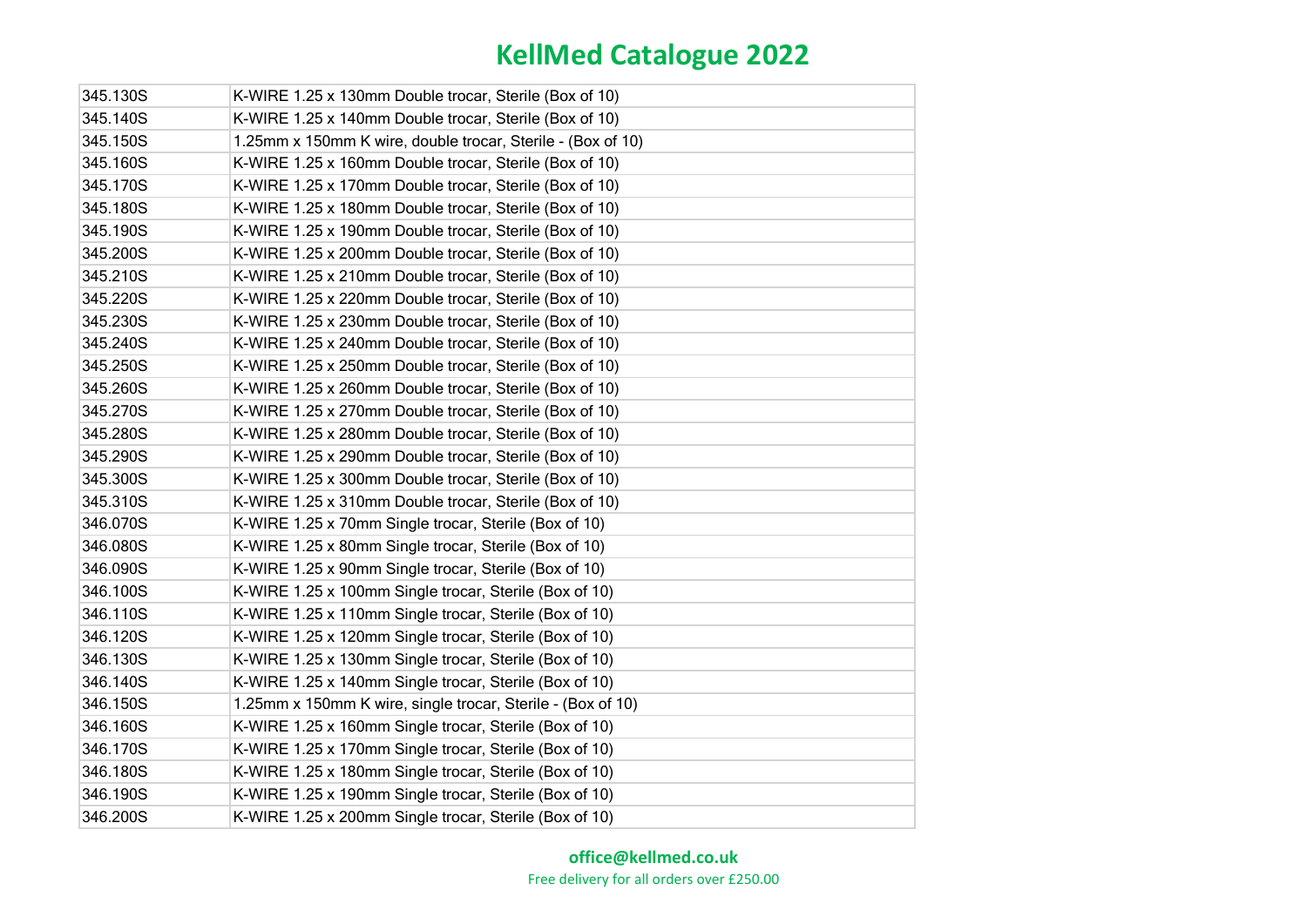| 345.130S | K-WIRE 1.25 x 130mm Double trocar, Sterile (Box of 10)      |
|----------|-------------------------------------------------------------|
| 345.140S | K-WIRE 1.25 x 140mm Double trocar, Sterile (Box of 10)      |
| 345.150S | 1.25mm x 150mm K wire, double trocar, Sterile - (Box of 10) |
| 345.160S | K-WIRE 1.25 x 160mm Double trocar, Sterile (Box of 10)      |
| 345.170S | K-WIRE 1.25 x 170mm Double trocar, Sterile (Box of 10)      |
| 345.180S | K-WIRE 1.25 x 180mm Double trocar, Sterile (Box of 10)      |
| 345.190S | K-WIRE 1.25 x 190mm Double trocar, Sterile (Box of 10)      |
| 345.200S | K-WIRE 1.25 x 200mm Double trocar, Sterile (Box of 10)      |
| 345.210S | K-WIRE 1.25 x 210mm Double trocar, Sterile (Box of 10)      |
| 345.220S | K-WIRE 1.25 x 220mm Double trocar, Sterile (Box of 10)      |
| 345.230S | K-WIRE 1.25 x 230mm Double trocar, Sterile (Box of 10)      |
| 345.240S | K-WIRE 1.25 x 240mm Double trocar, Sterile (Box of 10)      |
| 345.250S | K-WIRE 1.25 x 250mm Double trocar, Sterile (Box of 10)      |
| 345.260S | K-WIRE 1.25 x 260mm Double trocar, Sterile (Box of 10)      |
| 345.270S | K-WIRE 1.25 x 270mm Double trocar, Sterile (Box of 10)      |
| 345.280S | K-WIRE 1.25 x 280mm Double trocar, Sterile (Box of 10)      |
| 345.290S | K-WIRE 1.25 x 290mm Double trocar, Sterile (Box of 10)      |
| 345.300S | K-WIRE 1.25 x 300mm Double trocar, Sterile (Box of 10)      |
| 345.310S | K-WIRE 1.25 x 310mm Double trocar, Sterile (Box of 10)      |
| 346.070S | K-WIRE 1.25 x 70mm Single trocar, Sterile (Box of 10)       |
| 346.080S | K-WIRE 1.25 x 80mm Single trocar, Sterile (Box of 10)       |
| 346.090S | K-WIRE 1.25 x 90mm Single trocar, Sterile (Box of 10)       |
| 346.100S | K-WIRE 1.25 x 100mm Single trocar, Sterile (Box of 10)      |
| 346.110S | K-WIRE 1.25 x 110mm Single trocar, Sterile (Box of 10)      |
| 346.120S | K-WIRE 1.25 x 120mm Single trocar, Sterile (Box of 10)      |
| 346.130S | K-WIRE 1.25 x 130mm Single trocar, Sterile (Box of 10)      |
| 346.140S | K-WIRE 1.25 x 140mm Single trocar, Sterile (Box of 10)      |
| 346.150S | 1.25mm x 150mm K wire, single trocar, Sterile - (Box of 10) |
| 346.160S | K-WIRE 1.25 x 160mm Single trocar, Sterile (Box of 10)      |
| 346.170S | K-WIRE 1.25 x 170mm Single trocar, Sterile (Box of 10)      |
| 346.180S | K-WIRE 1.25 x 180mm Single trocar, Sterile (Box of 10)      |
| 346.190S | K-WIRE 1.25 x 190mm Single trocar, Sterile (Box of 10)      |
| 346.200S | K-WIRE 1.25 x 200mm Single trocar, Sterile (Box of 10)      |

#### **office@kellmed.co.uk**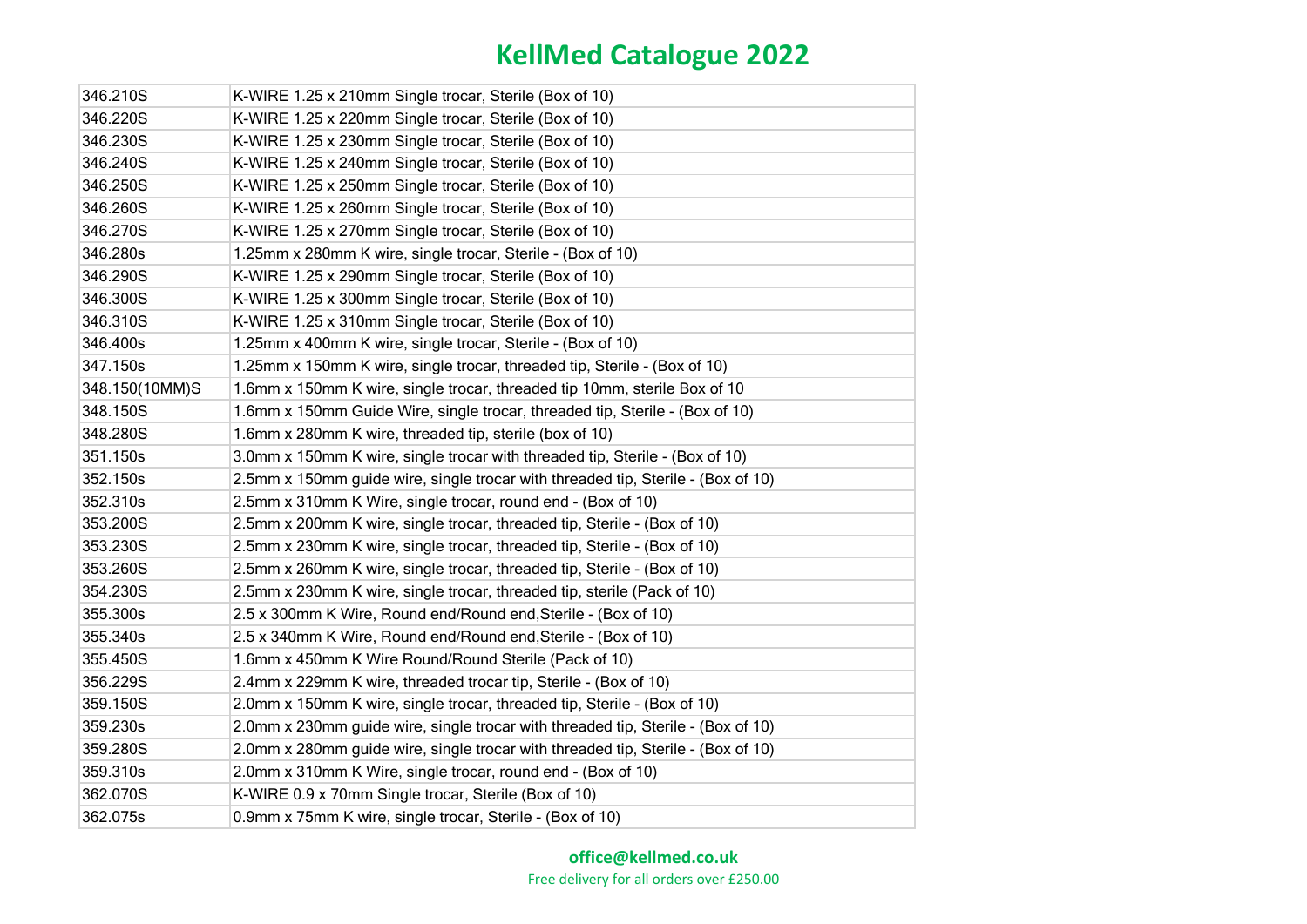| 346.210S       | K-WIRE 1.25 x 210mm Single trocar, Sterile (Box of 10)                           |
|----------------|----------------------------------------------------------------------------------|
| 346.220S       | K-WIRE 1.25 x 220mm Single trocar, Sterile (Box of 10)                           |
| 346.230S       | K-WIRE 1.25 x 230mm Single trocar, Sterile (Box of 10)                           |
| 346.240S       | K-WIRE 1.25 x 240mm Single trocar, Sterile (Box of 10)                           |
| 346.250S       | K-WIRE 1.25 x 250mm Single trocar, Sterile (Box of 10)                           |
| 346.260S       | K-WIRE 1.25 x 260mm Single trocar, Sterile (Box of 10)                           |
| 346.270S       | K-WIRE 1.25 x 270mm Single trocar, Sterile (Box of 10)                           |
| 346.280s       | 1.25mm x 280mm K wire, single trocar, Sterile - (Box of 10)                      |
| 346.290S       | K-WIRE 1.25 x 290mm Single trocar, Sterile (Box of 10)                           |
| 346.300S       | K-WIRE 1.25 x 300mm Single trocar, Sterile (Box of 10)                           |
| 346.310S       | K-WIRE 1.25 x 310mm Single trocar, Sterile (Box of 10)                           |
| 346.400s       | 1.25mm x 400mm K wire, single trocar, Sterile - (Box of 10)                      |
| 347.150s       | 1.25mm x 150mm K wire, single trocar, threaded tip, Sterile - (Box of 10)        |
| 348.150(10MM)S | 1.6mm x 150mm K wire, single trocar, threaded tip 10mm, sterile Box of 10        |
| 348.150S       | 1.6mm x 150mm Guide Wire, single trocar, threaded tip, Sterile - (Box of 10)     |
| 348.280S       | 1.6mm x 280mm K wire, threaded tip, sterile (box of 10)                          |
| 351.150s       | 3.0mm x 150mm K wire, single trocar with threaded tip, Sterile - (Box of 10)     |
| 352.150s       | 2.5mm x 150mm guide wire, single trocar with threaded tip, Sterile - (Box of 10) |
| 352.310s       | 2.5mm x 310mm K Wire, single trocar, round end - (Box of 10)                     |
| 353.200S       | 2.5mm x 200mm K wire, single trocar, threaded tip, Sterile - (Box of 10)         |
| 353.230S       | 2.5mm x 230mm K wire, single trocar, threaded tip, Sterile - (Box of 10)         |
| 353.260S       | 2.5mm x 260mm K wire, single trocar, threaded tip, Sterile - (Box of 10)         |
| 354.230S       | 2.5mm x 230mm K wire, single trocar, threaded tip, sterile (Pack of 10)          |
| 355.300s       | 2.5 x 300mm K Wire, Round end/Round end, Sterile - (Box of 10)                   |
| 355.340s       | 2.5 x 340mm K Wire, Round end/Round end, Sterile - (Box of 10)                   |
| 355.450S       | 1.6mm x 450mm K Wire Round/Round Sterile (Pack of 10)                            |
| 356.229S       | 2.4mm x 229mm K wire, threaded trocar tip, Sterile - (Box of 10)                 |
| 359.150S       | 2.0mm x 150mm K wire, single trocar, threaded tip, Sterile - (Box of 10)         |
| 359.230s       | 2.0mm x 230mm guide wire, single trocar with threaded tip, Sterile - (Box of 10) |
| 359.280S       | 2.0mm x 280mm guide wire, single trocar with threaded tip, Sterile - (Box of 10) |
| 359.310s       | 2.0mm x 310mm K Wire, single trocar, round end - (Box of 10)                     |
| 362.070S       | K-WIRE 0.9 x 70mm Single trocar, Sterile (Box of 10)                             |
| 362.075s       | 0.9mm x 75mm K wire, single trocar, Sterile - (Box of 10)                        |

#### **office@kellmed.co.uk**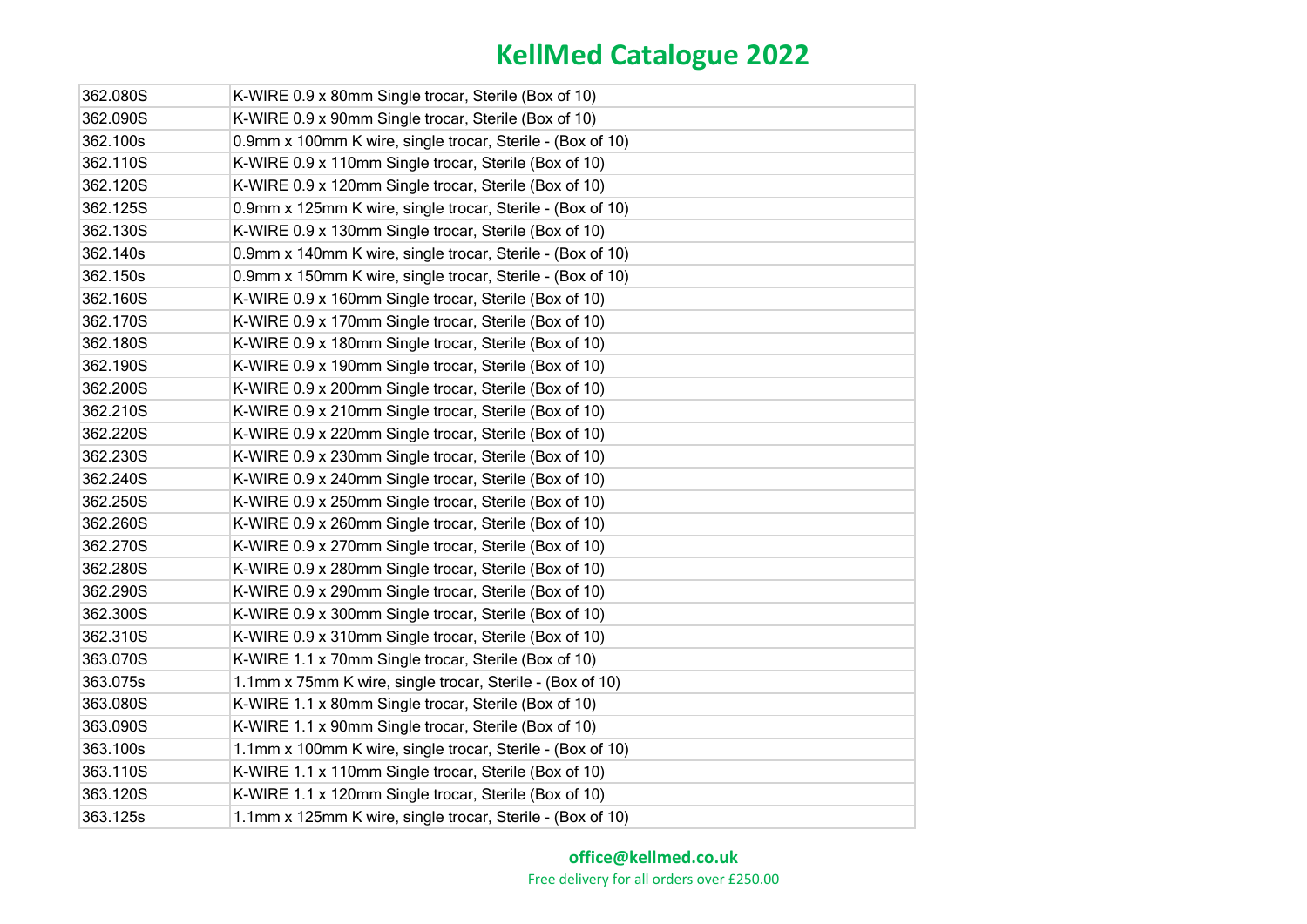| 362.080S | K-WIRE 0.9 x 80mm Single trocar, Sterile (Box of 10)       |
|----------|------------------------------------------------------------|
| 362.090S | K-WIRE 0.9 x 90mm Single trocar, Sterile (Box of 10)       |
| 362.100s | 0.9mm x 100mm K wire, single trocar, Sterile - (Box of 10) |
| 362.110S | K-WIRE 0.9 x 110mm Single trocar, Sterile (Box of 10)      |
| 362.120S | K-WIRE 0.9 x 120mm Single trocar, Sterile (Box of 10)      |
| 362.125S | 0.9mm x 125mm K wire, single trocar, Sterile - (Box of 10) |
| 362.130S | K-WIRE 0.9 x 130mm Single trocar, Sterile (Box of 10)      |
| 362.140s | 0.9mm x 140mm K wire, single trocar, Sterile - (Box of 10) |
| 362.150s | 0.9mm x 150mm K wire, single trocar, Sterile - (Box of 10) |
| 362.160S | K-WIRE 0.9 x 160mm Single trocar, Sterile (Box of 10)      |
| 362.170S | K-WIRE 0.9 x 170mm Single trocar, Sterile (Box of 10)      |
| 362.180S | K-WIRE 0.9 x 180mm Single trocar, Sterile (Box of 10)      |
| 362.190S | K-WIRE 0.9 x 190mm Single trocar, Sterile (Box of 10)      |
| 362.200S | K-WIRE 0.9 x 200mm Single trocar, Sterile (Box of 10)      |
| 362.210S | K-WIRE 0.9 x 210mm Single trocar, Sterile (Box of 10)      |
| 362.220S | K-WIRE 0.9 x 220mm Single trocar, Sterile (Box of 10)      |
| 362.230S | K-WIRE 0.9 x 230mm Single trocar, Sterile (Box of 10)      |
| 362.240S | K-WIRE 0.9 x 240mm Single trocar, Sterile (Box of 10)      |
| 362.250S | K-WIRE 0.9 x 250mm Single trocar, Sterile (Box of 10)      |
| 362.260S | K-WIRE 0.9 x 260mm Single trocar, Sterile (Box of 10)      |
| 362.270S | K-WIRE 0.9 x 270mm Single trocar, Sterile (Box of 10)      |
| 362.280S | K-WIRE 0.9 x 280mm Single trocar, Sterile (Box of 10)      |
| 362.290S | K-WIRE 0.9 x 290mm Single trocar, Sterile (Box of 10)      |
| 362.300S | K-WIRE 0.9 x 300mm Single trocar, Sterile (Box of 10)      |
| 362.310S | K-WIRE 0.9 x 310mm Single trocar, Sterile (Box of 10)      |
| 363.070S | K-WIRE 1.1 x 70mm Single trocar, Sterile (Box of 10)       |
| 363.075s | 1.1mm x 75mm K wire, single trocar, Sterile - (Box of 10)  |
| 363.080S | K-WIRE 1.1 x 80mm Single trocar, Sterile (Box of 10)       |
| 363.090S | K-WIRE 1.1 x 90mm Single trocar, Sterile (Box of 10)       |
| 363.100s | 1.1mm x 100mm K wire, single trocar, Sterile - (Box of 10) |
| 363.110S | K-WIRE 1.1 x 110mm Single trocar, Sterile (Box of 10)      |
| 363.120S | K-WIRE 1.1 x 120mm Single trocar, Sterile (Box of 10)      |
| 363.125s | 1.1mm x 125mm K wire, single trocar, Sterile - (Box of 10) |

#### **office@kellmed.co.uk**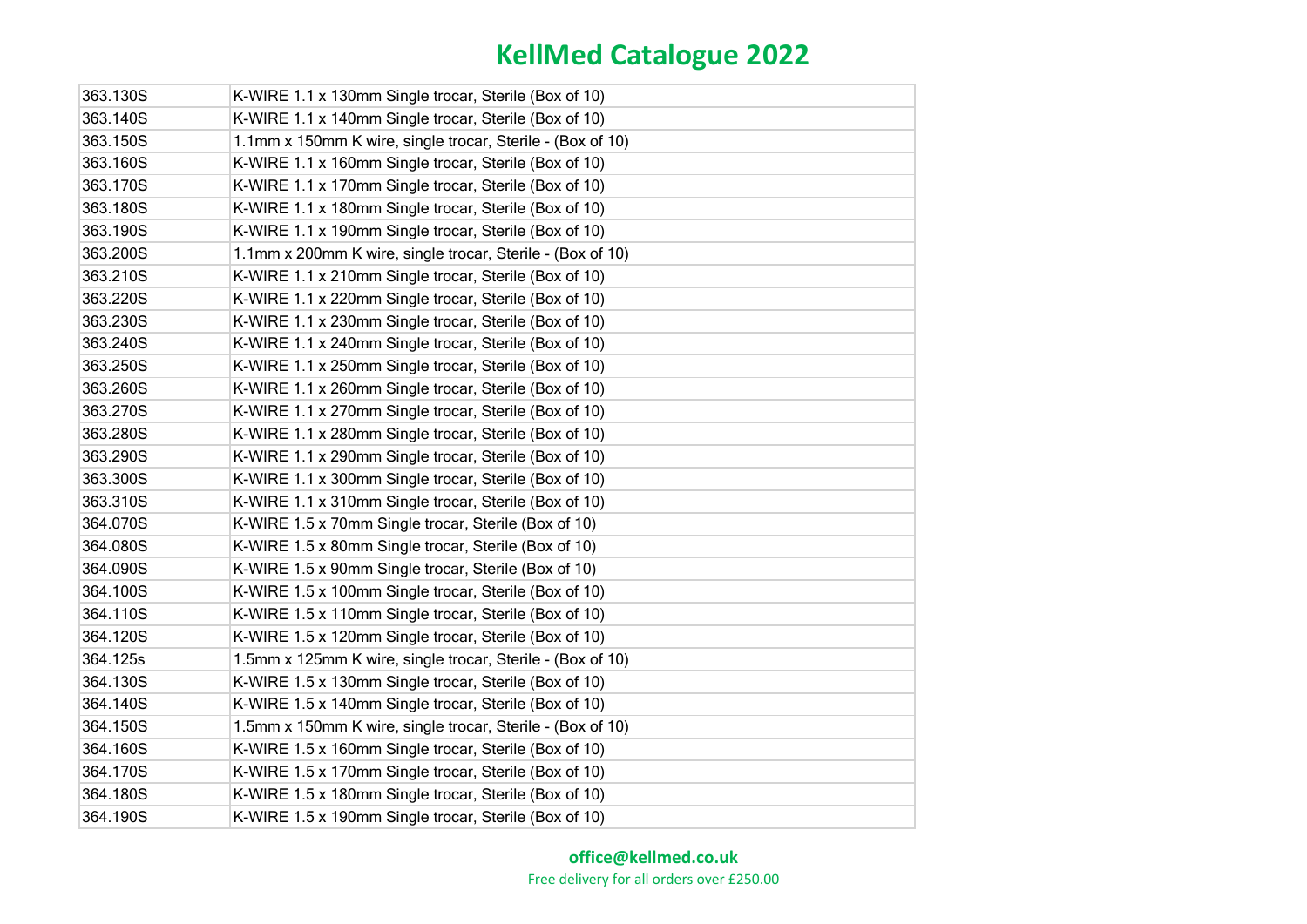| 363.130S | K-WIRE 1.1 x 130mm Single trocar, Sterile (Box of 10)      |
|----------|------------------------------------------------------------|
| 363.140S | K-WIRE 1.1 x 140mm Single trocar, Sterile (Box of 10)      |
| 363.150S | 1.1mm x 150mm K wire, single trocar, Sterile - (Box of 10) |
| 363.160S | K-WIRE 1.1 x 160mm Single trocar, Sterile (Box of 10)      |
| 363.170S | K-WIRE 1.1 x 170mm Single trocar, Sterile (Box of 10)      |
| 363.180S | K-WIRE 1.1 x 180mm Single trocar, Sterile (Box of 10)      |
| 363.190S | K-WIRE 1.1 x 190mm Single trocar, Sterile (Box of 10)      |
| 363.200S | 1.1mm x 200mm K wire, single trocar, Sterile - (Box of 10) |
| 363.210S | K-WIRE 1.1 x 210mm Single trocar, Sterile (Box of 10)      |
| 363.220S | K-WIRE 1.1 x 220mm Single trocar, Sterile (Box of 10)      |
| 363.230S | K-WIRE 1.1 x 230mm Single trocar, Sterile (Box of 10)      |
| 363.240S | K-WIRE 1.1 x 240mm Single trocar, Sterile (Box of 10)      |
| 363.250S | K-WIRE 1.1 x 250mm Single trocar, Sterile (Box of 10)      |
| 363.260S | K-WIRE 1.1 x 260mm Single trocar, Sterile (Box of 10)      |
| 363.270S | K-WIRE 1.1 x 270mm Single trocar, Sterile (Box of 10)      |
| 363.280S | K-WIRE 1.1 x 280mm Single trocar, Sterile (Box of 10)      |
| 363.290S | K-WIRE 1.1 x 290mm Single trocar, Sterile (Box of 10)      |
| 363.300S | K-WIRE 1.1 x 300mm Single trocar, Sterile (Box of 10)      |
| 363.310S | K-WIRE 1.1 x 310mm Single trocar, Sterile (Box of 10)      |
| 364.070S | K-WIRE 1.5 x 70mm Single trocar, Sterile (Box of 10)       |
| 364.080S | K-WIRE 1.5 x 80mm Single trocar, Sterile (Box of 10)       |
| 364.090S | K-WIRE 1.5 x 90mm Single trocar, Sterile (Box of 10)       |
| 364.100S | K-WIRE 1.5 x 100mm Single trocar, Sterile (Box of 10)      |
| 364.110S | K-WIRE 1.5 x 110mm Single trocar, Sterile (Box of 10)      |
| 364.120S | K-WIRE 1.5 x 120mm Single trocar, Sterile (Box of 10)      |
| 364.125s | 1.5mm x 125mm K wire, single trocar, Sterile - (Box of 10) |
| 364.130S | K-WIRE 1.5 x 130mm Single trocar, Sterile (Box of 10)      |
| 364.140S | K-WIRE 1.5 x 140mm Single trocar, Sterile (Box of 10)      |
| 364.150S | 1.5mm x 150mm K wire, single trocar, Sterile - (Box of 10) |
| 364.160S | K-WIRE 1.5 x 160mm Single trocar, Sterile (Box of 10)      |
| 364.170S | K-WIRE 1.5 x 170mm Single trocar, Sterile (Box of 10)      |
| 364.180S | K-WIRE 1.5 x 180mm Single trocar, Sterile (Box of 10)      |
| 364.190S | K-WIRE 1.5 x 190mm Single trocar, Sterile (Box of 10)      |

#### **office@kellmed.co.uk**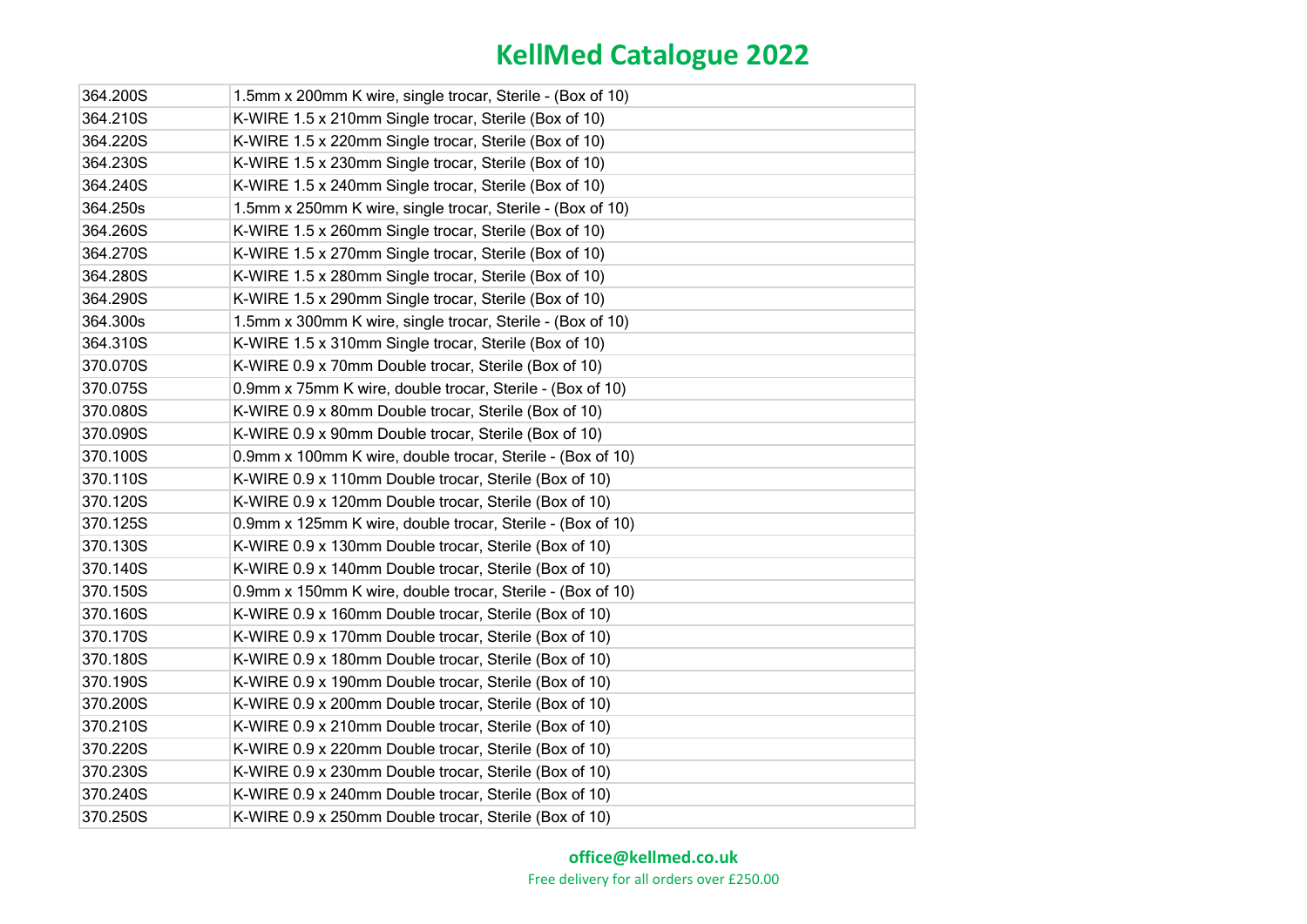| 364.200S | 1.5mm x 200mm K wire, single trocar, Sterile - (Box of 10) |
|----------|------------------------------------------------------------|
| 364.210S | K-WIRE 1.5 x 210mm Single trocar, Sterile (Box of 10)      |
| 364.220S | K-WIRE 1.5 x 220mm Single trocar, Sterile (Box of 10)      |
| 364.230S | K-WIRE 1.5 x 230mm Single trocar, Sterile (Box of 10)      |
| 364.240S | K-WIRE 1.5 x 240mm Single trocar, Sterile (Box of 10)      |
| 364.250s | 1.5mm x 250mm K wire, single trocar, Sterile - (Box of 10) |
| 364.260S | K-WIRE 1.5 x 260mm Single trocar, Sterile (Box of 10)      |
| 364.270S | K-WIRE 1.5 x 270mm Single trocar, Sterile (Box of 10)      |
| 364.280S | K-WIRE 1.5 x 280mm Single trocar, Sterile (Box of 10)      |
| 364.290S | K-WIRE 1.5 x 290mm Single trocar, Sterile (Box of 10)      |
| 364.300s | 1.5mm x 300mm K wire, single trocar, Sterile - (Box of 10) |
| 364.310S | K-WIRE 1.5 x 310mm Single trocar, Sterile (Box of 10)      |
| 370.070S | K-WIRE 0.9 x 70mm Double trocar, Sterile (Box of 10)       |
| 370.075S | 0.9mm x 75mm K wire, double trocar, Sterile - (Box of 10)  |
| 370.080S | K-WIRE 0.9 x 80mm Double trocar, Sterile (Box of 10)       |
| 370.090S | K-WIRE 0.9 x 90mm Double trocar, Sterile (Box of 10)       |
| 370.100S | 0.9mm x 100mm K wire, double trocar, Sterile - (Box of 10) |
| 370.110S | K-WIRE 0.9 x 110mm Double trocar, Sterile (Box of 10)      |
| 370.120S | K-WIRE 0.9 x 120mm Double trocar, Sterile (Box of 10)      |
| 370.125S | 0.9mm x 125mm K wire, double trocar, Sterile - (Box of 10) |
| 370.130S | K-WIRE 0.9 x 130mm Double trocar, Sterile (Box of 10)      |
| 370.140S | K-WIRE 0.9 x 140mm Double trocar, Sterile (Box of 10)      |
| 370.150S | 0.9mm x 150mm K wire, double trocar, Sterile - (Box of 10) |
| 370.160S | K-WIRE 0.9 x 160mm Double trocar, Sterile (Box of 10)      |
| 370.170S | K-WIRE 0.9 x 170mm Double trocar, Sterile (Box of 10)      |
| 370.180S | K-WIRE 0.9 x 180mm Double trocar, Sterile (Box of 10)      |
| 370.190S | K-WIRE 0.9 x 190mm Double trocar, Sterile (Box of 10)      |
| 370.200S | K-WIRE 0.9 x 200mm Double trocar, Sterile (Box of 10)      |
| 370.210S | K-WIRE 0.9 x 210mm Double trocar, Sterile (Box of 10)      |
| 370.220S | K-WIRE 0.9 x 220mm Double trocar, Sterile (Box of 10)      |
| 370.230S | K-WIRE 0.9 x 230mm Double trocar, Sterile (Box of 10)      |
| 370.240S | K-WIRE 0.9 x 240mm Double trocar, Sterile (Box of 10)      |
| 370.250S | K-WIRE 0.9 x 250mm Double trocar, Sterile (Box of 10)      |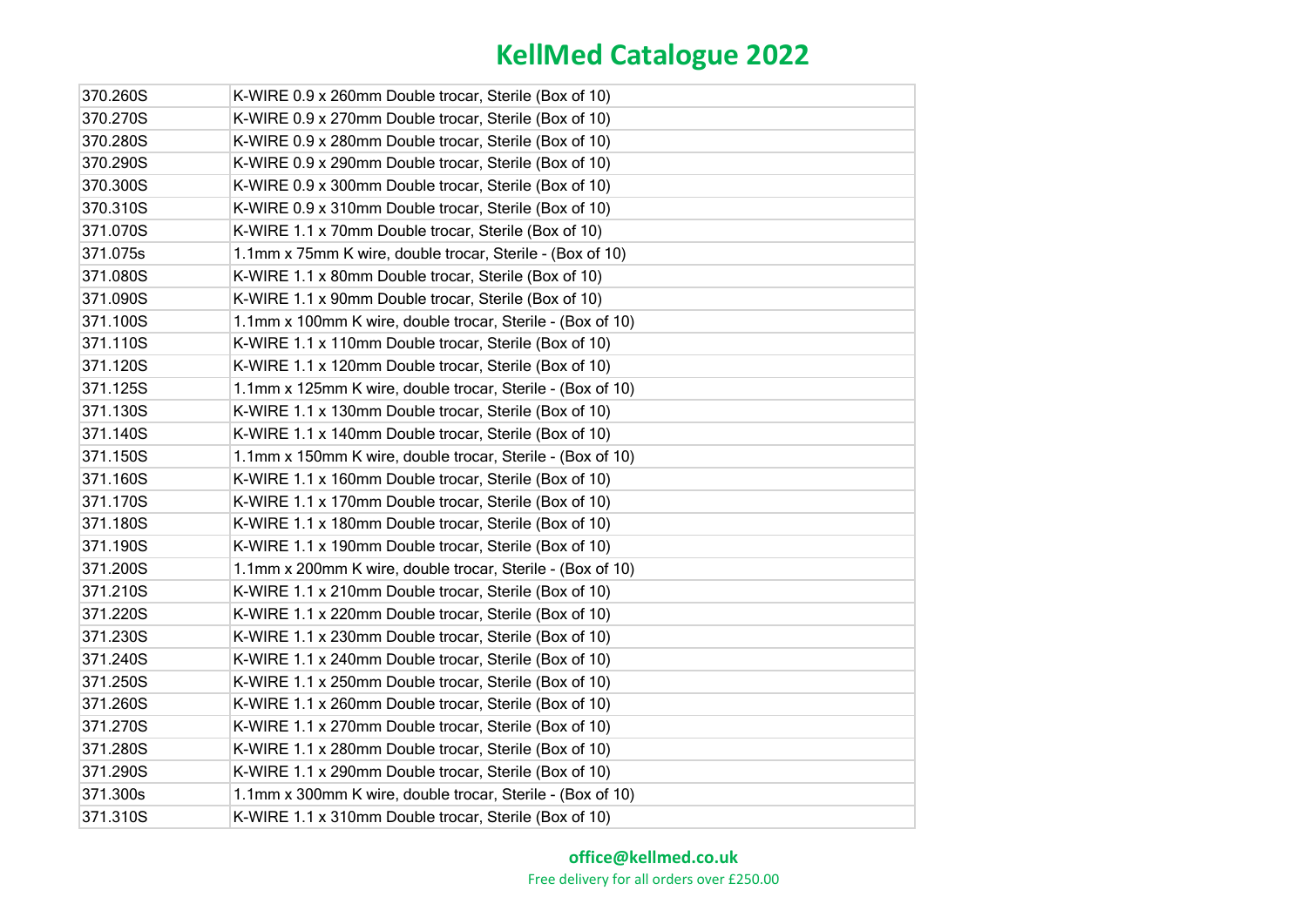| 370.260S | K-WIRE 0.9 x 260mm Double trocar, Sterile (Box of 10)      |
|----------|------------------------------------------------------------|
| 370.270S | K-WIRE 0.9 x 270mm Double trocar, Sterile (Box of 10)      |
| 370.280S | K-WIRE 0.9 x 280mm Double trocar, Sterile (Box of 10)      |
| 370.290S | K-WIRE 0.9 x 290mm Double trocar, Sterile (Box of 10)      |
| 370.300S | K-WIRE 0.9 x 300mm Double trocar, Sterile (Box of 10)      |
| 370.310S | K-WIRE 0.9 x 310mm Double trocar, Sterile (Box of 10)      |
| 371.070S | K-WIRE 1.1 x 70mm Double trocar, Sterile (Box of 10)       |
| 371.075s | 1.1mm x 75mm K wire, double trocar, Sterile - (Box of 10)  |
| 371.080S | K-WIRE 1.1 x 80mm Double trocar, Sterile (Box of 10)       |
| 371.090S | K-WIRE 1.1 x 90mm Double trocar, Sterile (Box of 10)       |
| 371.100S | 1.1mm x 100mm K wire, double trocar, Sterile - (Box of 10) |
| 371.110S | K-WIRE 1.1 x 110mm Double trocar, Sterile (Box of 10)      |
| 371.120S | K-WIRE 1.1 x 120mm Double trocar, Sterile (Box of 10)      |
| 371.125S | 1.1mm x 125mm K wire, double trocar, Sterile - (Box of 10) |
| 371.130S | K-WIRE 1.1 x 130mm Double trocar, Sterile (Box of 10)      |
| 371.140S | K-WIRE 1.1 x 140mm Double trocar, Sterile (Box of 10)      |
| 371.150S | 1.1mm x 150mm K wire, double trocar, Sterile - (Box of 10) |
| 371.160S | K-WIRE 1.1 x 160mm Double trocar, Sterile (Box of 10)      |
| 371.170S | K-WIRE 1.1 x 170mm Double trocar, Sterile (Box of 10)      |
| 371.180S | K-WIRE 1.1 x 180mm Double trocar, Sterile (Box of 10)      |
| 371.190S | K-WIRE 1.1 x 190mm Double trocar, Sterile (Box of 10)      |
| 371.200S | 1.1mm x 200mm K wire, double trocar, Sterile - (Box of 10) |
| 371.210S | K-WIRE 1.1 x 210mm Double trocar, Sterile (Box of 10)      |
| 371.220S | K-WIRE 1.1 x 220mm Double trocar, Sterile (Box of 10)      |
| 371.230S | K-WIRE 1.1 x 230mm Double trocar, Sterile (Box of 10)      |
| 371.240S | K-WIRE 1.1 x 240mm Double trocar, Sterile (Box of 10)      |
| 371.250S | K-WIRE 1.1 x 250mm Double trocar, Sterile (Box of 10)      |
| 371.260S | K-WIRE 1.1 x 260mm Double trocar, Sterile (Box of 10)      |
| 371.270S | K-WIRE 1.1 x 270mm Double trocar, Sterile (Box of 10)      |
| 371.280S | K-WIRE 1.1 x 280mm Double trocar, Sterile (Box of 10)      |
| 371.290S | K-WIRE 1.1 x 290mm Double trocar, Sterile (Box of 10)      |
| 371.300s | 1.1mm x 300mm K wire, double trocar, Sterile - (Box of 10) |
| 371.310S | K-WIRE 1.1 x 310mm Double trocar, Sterile (Box of 10)      |

#### **office@kellmed.co.uk**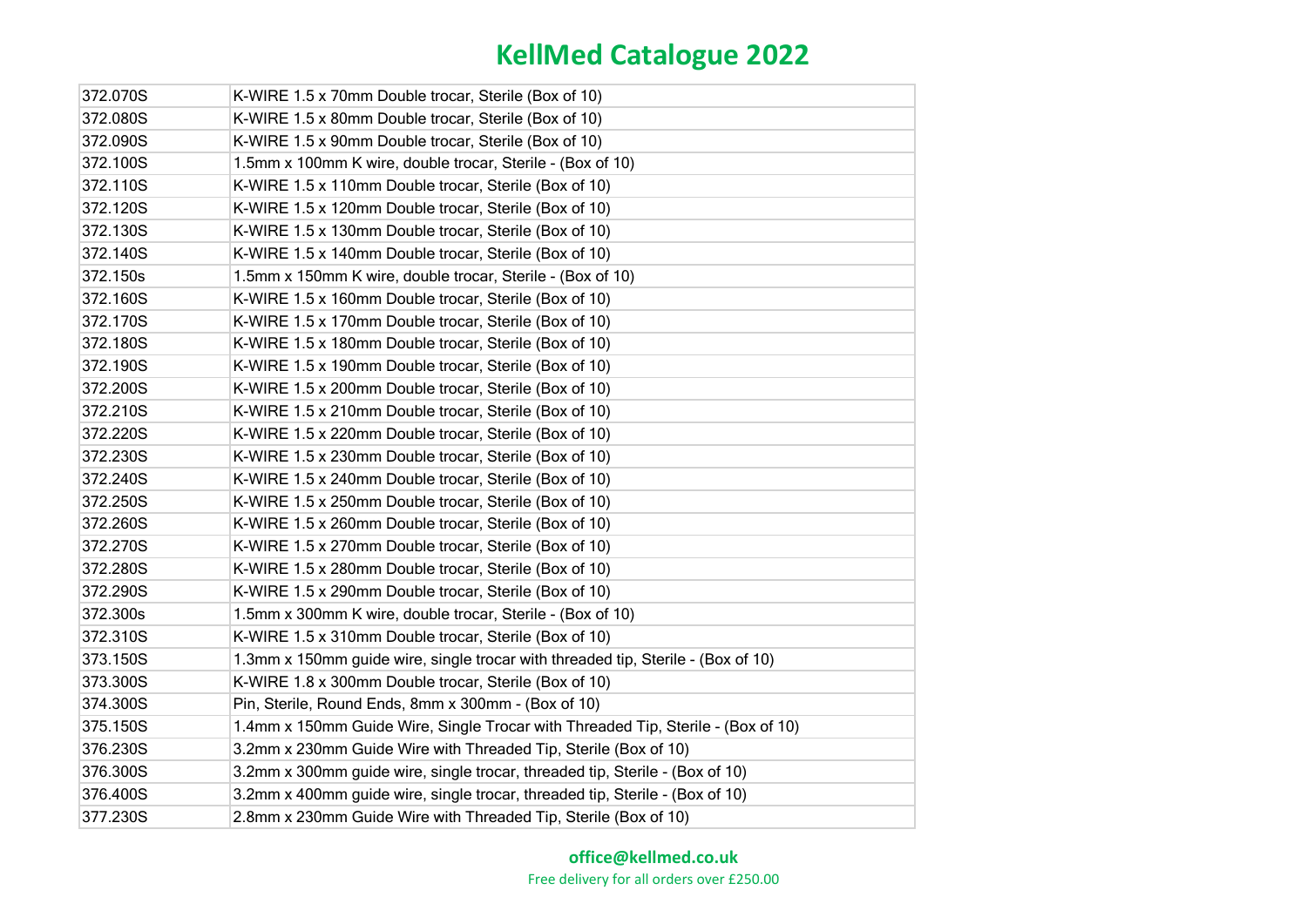| 372.070S | K-WIRE 1.5 x 70mm Double trocar, Sterile (Box of 10)                             |
|----------|----------------------------------------------------------------------------------|
| 372.080S | K-WIRE 1.5 x 80mm Double trocar, Sterile (Box of 10)                             |
| 372.090S | K-WIRE 1.5 x 90mm Double trocar, Sterile (Box of 10)                             |
| 372.100S | 1.5mm x 100mm K wire, double trocar, Sterile - (Box of 10)                       |
| 372.110S | K-WIRE 1.5 x 110mm Double trocar, Sterile (Box of 10)                            |
| 372.120S | K-WIRE 1.5 x 120mm Double trocar, Sterile (Box of 10)                            |
| 372.130S | K-WIRE 1.5 x 130mm Double trocar, Sterile (Box of 10)                            |
| 372.140S | K-WIRE 1.5 x 140mm Double trocar, Sterile (Box of 10)                            |
| 372.150s | 1.5mm x 150mm K wire, double trocar, Sterile - (Box of 10)                       |
| 372.160S | K-WIRE 1.5 x 160mm Double trocar, Sterile (Box of 10)                            |
| 372.170S | K-WIRE 1.5 x 170mm Double trocar, Sterile (Box of 10)                            |
| 372.180S | K-WIRE 1.5 x 180mm Double trocar, Sterile (Box of 10)                            |
| 372.190S | K-WIRE 1.5 x 190mm Double trocar, Sterile (Box of 10)                            |
| 372.200S | K-WIRE 1.5 x 200mm Double trocar, Sterile (Box of 10)                            |
| 372.210S | K-WIRE 1.5 x 210mm Double trocar, Sterile (Box of 10)                            |
| 372.220S | K-WIRE 1.5 x 220mm Double trocar, Sterile (Box of 10)                            |
| 372.230S | K-WIRE 1.5 x 230mm Double trocar, Sterile (Box of 10)                            |
| 372.240S | K-WIRE 1.5 x 240mm Double trocar, Sterile (Box of 10)                            |
| 372.250S | K-WIRE 1.5 x 250mm Double trocar, Sterile (Box of 10)                            |
| 372.260S | K-WIRE 1.5 x 260mm Double trocar, Sterile (Box of 10)                            |
| 372.270S | K-WIRE 1.5 x 270mm Double trocar, Sterile (Box of 10)                            |
| 372.280S | K-WIRE 1.5 x 280mm Double trocar, Sterile (Box of 10)                            |
| 372.290S | K-WIRE 1.5 x 290mm Double trocar, Sterile (Box of 10)                            |
| 372.300s | 1.5mm x 300mm K wire, double trocar, Sterile - (Box of 10)                       |
| 372.310S | K-WIRE 1.5 x 310mm Double trocar, Sterile (Box of 10)                            |
| 373.150S | 1.3mm x 150mm guide wire, single trocar with threaded tip, Sterile - (Box of 10) |
| 373.300S | K-WIRE 1.8 x 300mm Double trocar, Sterile (Box of 10)                            |
| 374.300S | Pin, Sterile, Round Ends, 8mm x 300mm - (Box of 10)                              |
| 375.150S | 1.4mm x 150mm Guide Wire, Single Trocar with Threaded Tip, Sterile - (Box of 10) |
| 376.230S | 3.2mm x 230mm Guide Wire with Threaded Tip, Sterile (Box of 10)                  |
| 376.300S | 3.2mm x 300mm guide wire, single trocar, threaded tip, Sterile - (Box of 10)     |
| 376.400S | 3.2mm x 400mm guide wire, single trocar, threaded tip, Sterile - (Box of 10)     |
| 377.230S | 2.8mm x 230mm Guide Wire with Threaded Tip, Sterile (Box of 10)                  |

#### **office@kellmed.co.uk**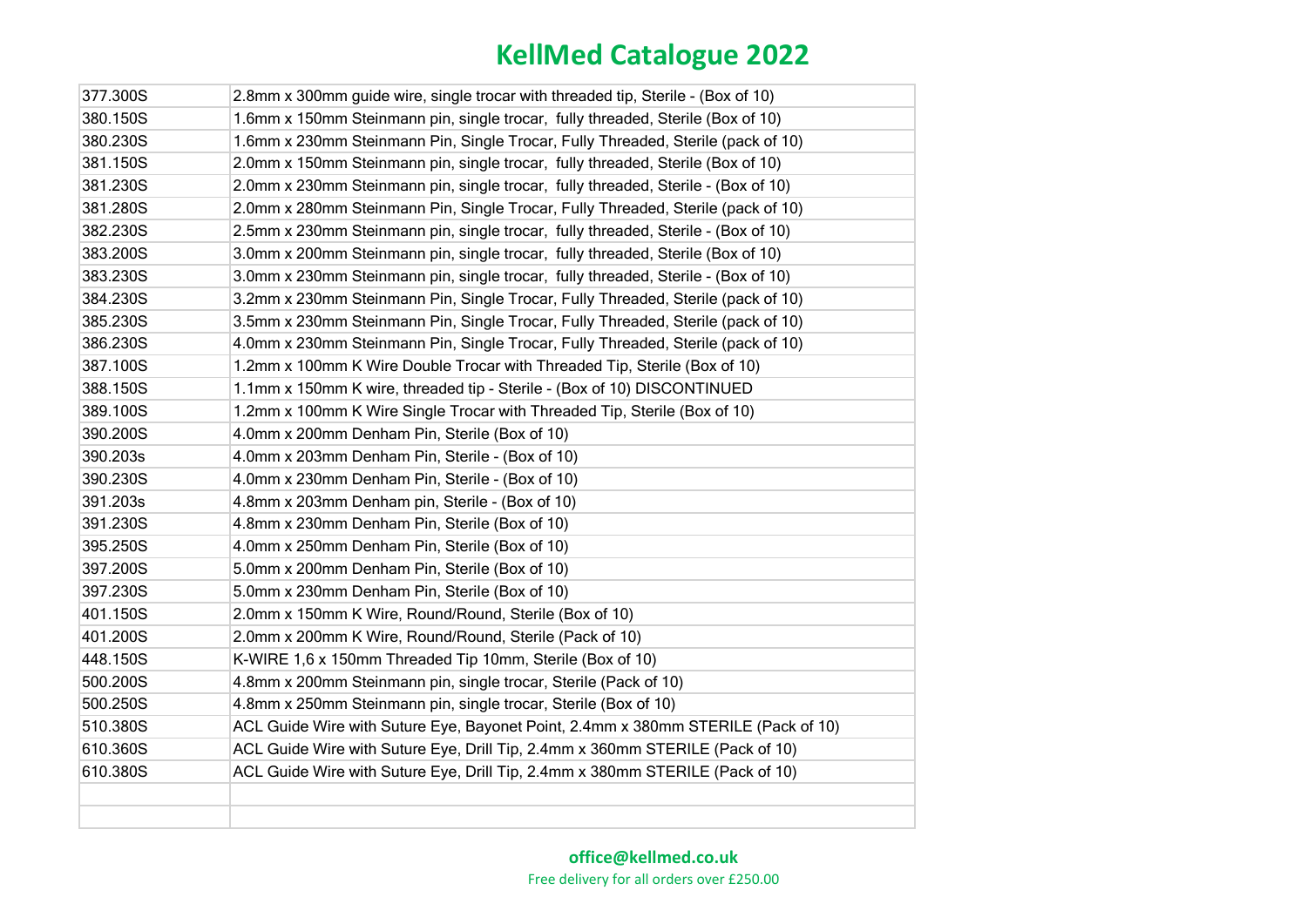| 377.300S | 2.8mm x 300mm guide wire, single trocar with threaded tip, Sterile - (Box of 10)  |
|----------|-----------------------------------------------------------------------------------|
| 380.150S | 1.6mm x 150mm Steinmann pin, single trocar, fully threaded, Sterile (Box of 10)   |
| 380.230S | 1.6mm x 230mm Steinmann Pin, Single Trocar, Fully Threaded, Sterile (pack of 10)  |
| 381.150S | 2.0mm x 150mm Steinmann pin, single trocar, fully threaded, Sterile (Box of 10)   |
| 381.230S | 2.0mm x 230mm Steinmann pin, single trocar, fully threaded, Sterile - (Box of 10) |
| 381.280S | 2.0mm x 280mm Steinmann Pin, Single Trocar, Fully Threaded, Sterile (pack of 10)  |
| 382.230S | 2.5mm x 230mm Steinmann pin, single trocar, fully threaded, Sterile - (Box of 10) |
| 383.200S | 3.0mm x 200mm Steinmann pin, single trocar, fully threaded, Sterile (Box of 10)   |
| 383.230S | 3.0mm x 230mm Steinmann pin, single trocar, fully threaded, Sterile - (Box of 10) |
| 384.230S | 3.2mm x 230mm Steinmann Pin, Single Trocar, Fully Threaded, Sterile (pack of 10)  |
| 385.230S | 3.5mm x 230mm Steinmann Pin, Single Trocar, Fully Threaded, Sterile (pack of 10)  |
| 386.230S | 4.0mm x 230mm Steinmann Pin, Single Trocar, Fully Threaded, Sterile (pack of 10)  |
| 387.100S | 1.2mm x 100mm K Wire Double Trocar with Threaded Tip, Sterile (Box of 10)         |
| 388.150S | 1.1mm x 150mm K wire, threaded tip - Sterile - (Box of 10) DISCONTINUED           |
| 389.100S | 1.2mm x 100mm K Wire Single Trocar with Threaded Tip, Sterile (Box of 10)         |
| 390.200S | 4.0mm x 200mm Denham Pin, Sterile (Box of 10)                                     |
| 390.203s | 4.0mm x 203mm Denham Pin, Sterile - (Box of 10)                                   |
| 390.230S | 4.0mm x 230mm Denham Pin, Sterile - (Box of 10)                                   |
| 391.203s | 4.8mm x 203mm Denham pin, Sterile - (Box of 10)                                   |
| 391.230S | 4.8mm x 230mm Denham Pin, Sterile (Box of 10)                                     |
| 395.250S | 4.0mm x 250mm Denham Pin, Sterile (Box of 10)                                     |
| 397.200S | 5.0mm x 200mm Denham Pin, Sterile (Box of 10)                                     |
| 397.230S | 5.0mm x 230mm Denham Pin, Sterile (Box of 10)                                     |
| 401.150S | 2.0mm x 150mm K Wire, Round/Round, Sterile (Box of 10)                            |
| 401.200S | 2.0mm x 200mm K Wire, Round/Round, Sterile (Pack of 10)                           |
| 448.150S | K-WIRE 1,6 x 150mm Threaded Tip 10mm, Sterile (Box of 10)                         |
| 500.200S | 4.8mm x 200mm Steinmann pin, single trocar, Sterile (Pack of 10)                  |
| 500.250S | 4.8mm x 250mm Steinmann pin, single trocar, Sterile (Box of 10)                   |
| 510.380S | ACL Guide Wire with Suture Eye, Bayonet Point, 2.4mm x 380mm STERILE (Pack of 10) |
| 610.360S | ACL Guide Wire with Suture Eye, Drill Tip, 2.4mm x 360mm STERILE (Pack of 10)     |
| 610.380S | ACL Guide Wire with Suture Eye, Drill Tip, 2.4mm x 380mm STERILE (Pack of 10)     |
|          |                                                                                   |
|          |                                                                                   |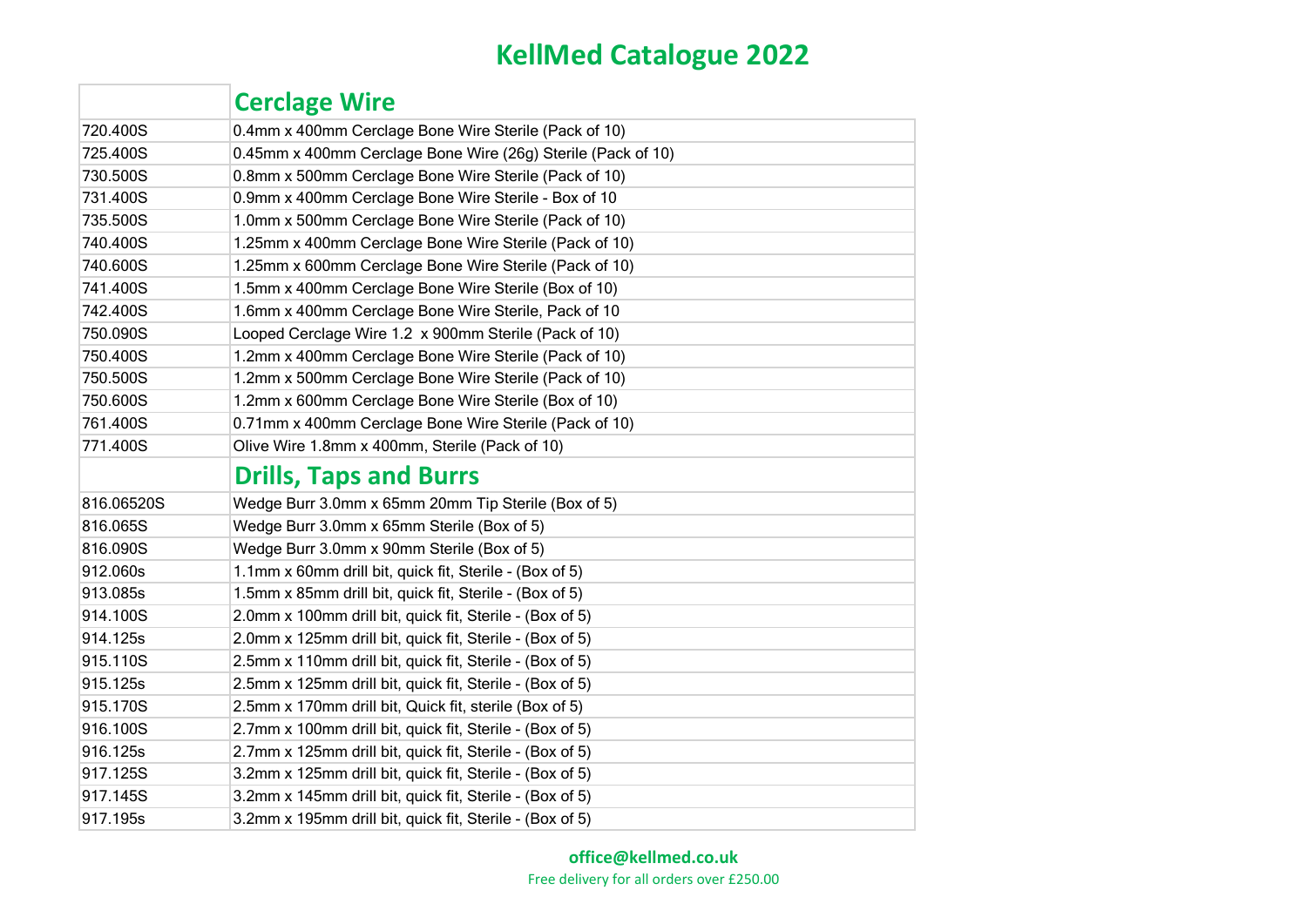|            | <b>Cerclage Wire</b>                                         |
|------------|--------------------------------------------------------------|
| 720.400S   | 0.4mm x 400mm Cerclage Bone Wire Sterile (Pack of 10)        |
| 725.400S   | 0.45mm x 400mm Cerclage Bone Wire (26g) Sterile (Pack of 10) |
| 730.500S   | 0.8mm x 500mm Cerclage Bone Wire Sterile (Pack of 10)        |
| 731.400S   | 0.9mm x 400mm Cerclage Bone Wire Sterile - Box of 10         |
| 735.500S   | 1.0mm x 500mm Cerclage Bone Wire Sterile (Pack of 10)        |
| 740.400S   | 1.25mm x 400mm Cerclage Bone Wire Sterile (Pack of 10)       |
| 740.600S   | 1.25mm x 600mm Cerclage Bone Wire Sterile (Pack of 10)       |
| 741.400S   | 1.5mm x 400mm Cerclage Bone Wire Sterile (Box of 10)         |
| 742.400S   | 1.6mm x 400mm Cerclage Bone Wire Sterile, Pack of 10         |
| 750.090S   | Looped Cerclage Wire 1.2 x 900mm Sterile (Pack of 10)        |
| 750.400S   | 1.2mm x 400mm Cerclage Bone Wire Sterile (Pack of 10)        |
| 750.500S   | 1.2mm x 500mm Cerclage Bone Wire Sterile (Pack of 10)        |
| 750.600S   | 1.2mm x 600mm Cerclage Bone Wire Sterile (Box of 10)         |
| 761.400S   | 0.71mm x 400mm Cerclage Bone Wire Sterile (Pack of 10)       |
| 771.400S   | Olive Wire 1.8mm x 400mm, Sterile (Pack of 10)               |
|            | <b>Drills, Taps and Burrs</b>                                |
| 816.06520S | Wedge Burr 3.0mm x 65mm 20mm Tip Sterile (Box of 5)          |
| 816.065S   | Wedge Burr 3.0mm x 65mm Sterile (Box of 5)                   |
| 816.090S   | Wedge Burr 3.0mm x 90mm Sterile (Box of 5)                   |
| 912.060s   | 1.1mm x 60mm drill bit, quick fit, Sterile - (Box of 5)      |
| 913.085s   | 1.5mm x 85mm drill bit, quick fit, Sterile - (Box of 5)      |
| 914.100S   | 2.0mm x 100mm drill bit, quick fit, Sterile - (Box of 5)     |
| 914.125s   | 2.0mm x 125mm drill bit, quick fit, Sterile - (Box of 5)     |
| 915.110S   | 2.5mm x 110mm drill bit, quick fit, Sterile - (Box of 5)     |
| 915.125s   | 2.5mm x 125mm drill bit, quick fit, Sterile - (Box of 5)     |
| 915.170S   | 2.5mm x 170mm drill bit, Quick fit, sterile (Box of 5)       |
| 916.100S   | 2.7mm x 100mm drill bit, quick fit, Sterile - (Box of 5)     |
| 916.125s   | 2.7mm x 125mm drill bit, quick fit, Sterile - (Box of 5)     |
| 917.125S   | 3.2mm x 125mm drill bit, quick fit, Sterile - (Box of 5)     |
| 917.145S   | 3.2mm x 145mm drill bit, quick fit, Sterile - (Box of 5)     |
| 917.195s   | 3.2mm x 195mm drill bit, quick fit, Sterile - (Box of 5)     |

#### **office@kellmed.co.uk** Free delivery for all orders over £250.00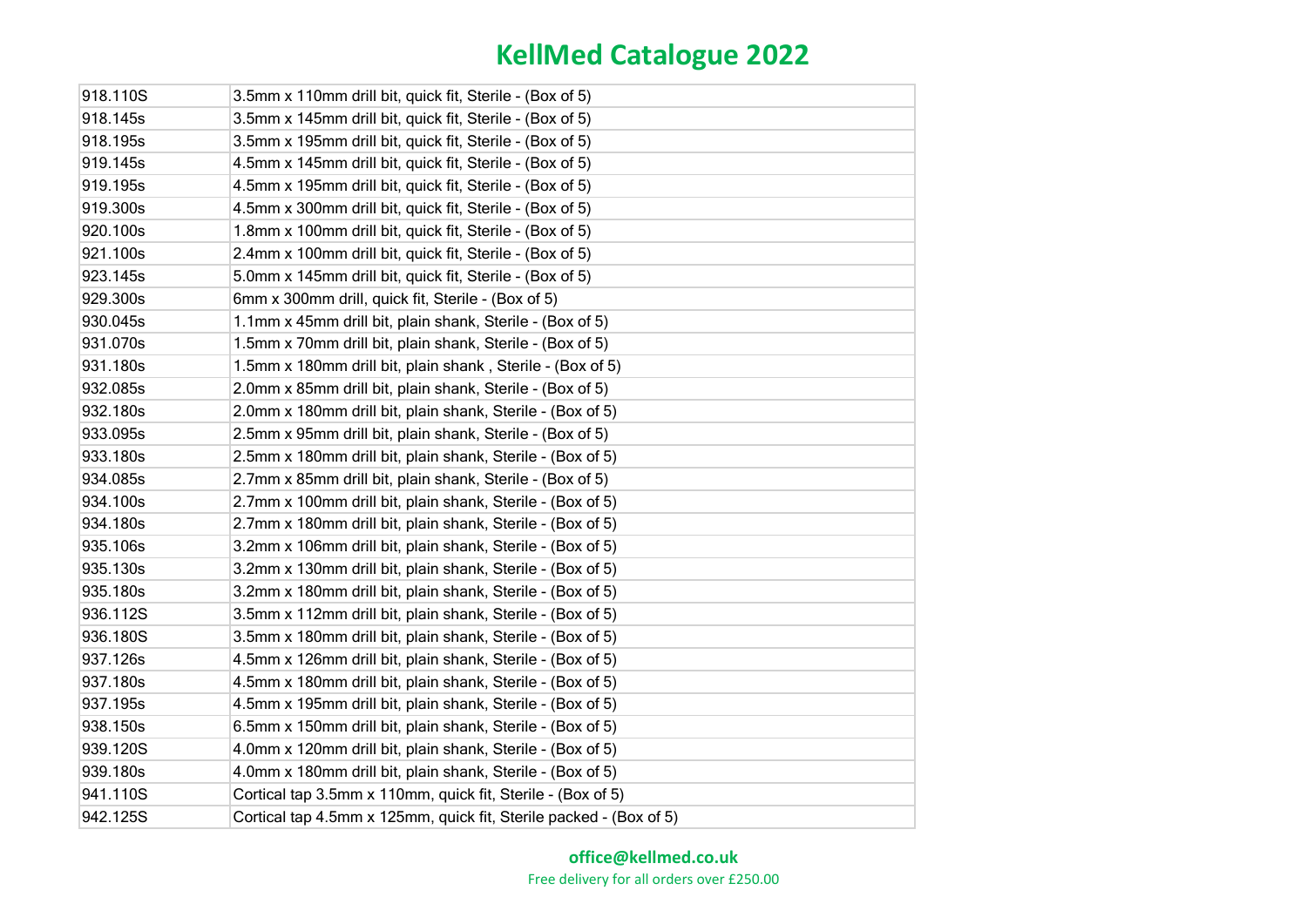| 918.110S | 3.5mm x 110mm drill bit, quick fit, Sterile - (Box of 5)           |
|----------|--------------------------------------------------------------------|
| 918.145s | 3.5mm x 145mm drill bit, quick fit, Sterile - (Box of 5)           |
| 918.195s | 3.5mm x 195mm drill bit, quick fit, Sterile - (Box of 5)           |
| 919.145s | 4.5mm x 145mm drill bit, quick fit, Sterile - (Box of 5)           |
| 919.195s | 4.5mm x 195mm drill bit, quick fit, Sterile - (Box of 5)           |
| 919.300s | 4.5mm x 300mm drill bit, quick fit, Sterile - (Box of 5)           |
| 920.100s | 1.8mm x 100mm drill bit, quick fit, Sterile - (Box of 5)           |
| 921.100s | 2.4mm x 100mm drill bit, quick fit, Sterile - (Box of 5)           |
| 923.145s | 5.0mm x 145mm drill bit, quick fit, Sterile - (Box of 5)           |
| 929.300s | 6mm x 300mm drill, quick fit, Sterile - (Box of 5)                 |
| 930.045s | 1.1mm x 45mm drill bit, plain shank, Sterile - (Box of 5)          |
| 931.070s | 1.5mm x 70mm drill bit, plain shank, Sterile - (Box of 5)          |
| 931.180s | 1.5mm x 180mm drill bit, plain shank, Sterile - (Box of 5)         |
| 932.085s | 2.0mm x 85mm drill bit, plain shank, Sterile - (Box of 5)          |
| 932.180s | 2.0mm x 180mm drill bit, plain shank, Sterile - (Box of 5)         |
| 933.095s | 2.5mm x 95mm drill bit, plain shank, Sterile - (Box of 5)          |
| 933.180s | 2.5mm x 180mm drill bit, plain shank, Sterile - (Box of 5)         |
| 934.085s | 2.7mm x 85mm drill bit, plain shank, Sterile - (Box of 5)          |
| 934.100s | 2.7mm x 100mm drill bit, plain shank, Sterile - (Box of 5)         |
| 934.180s | 2.7mm x 180mm drill bit, plain shank, Sterile - (Box of 5)         |
| 935.106s | 3.2mm x 106mm drill bit, plain shank, Sterile - (Box of 5)         |
| 935.130s | 3.2mm x 130mm drill bit, plain shank, Sterile - (Box of 5)         |
| 935.180s | 3.2mm x 180mm drill bit, plain shank, Sterile - (Box of 5)         |
| 936.112S | 3.5mm x 112mm drill bit, plain shank, Sterile - (Box of 5)         |
| 936.180S | 3.5mm x 180mm drill bit, plain shank, Sterile - (Box of 5)         |
| 937.126s | 4.5mm x 126mm drill bit, plain shank, Sterile - (Box of 5)         |
| 937.180s | 4.5mm x 180mm drill bit, plain shank, Sterile - (Box of 5)         |
| 937.195s | 4.5mm x 195mm drill bit, plain shank, Sterile - (Box of 5)         |
| 938.150s | 6.5mm x 150mm drill bit, plain shank, Sterile - (Box of 5)         |
| 939.120S | 4.0mm x 120mm drill bit, plain shank, Sterile - (Box of 5)         |
| 939.180s | 4.0mm x 180mm drill bit, plain shank, Sterile - (Box of 5)         |
| 941.110S | Cortical tap 3.5mm x 110mm, quick fit, Sterile - (Box of 5)        |
| 942.125S | Cortical tap 4.5mm x 125mm, quick fit, Sterile packed - (Box of 5) |

#### **office@kellmed.co.uk**